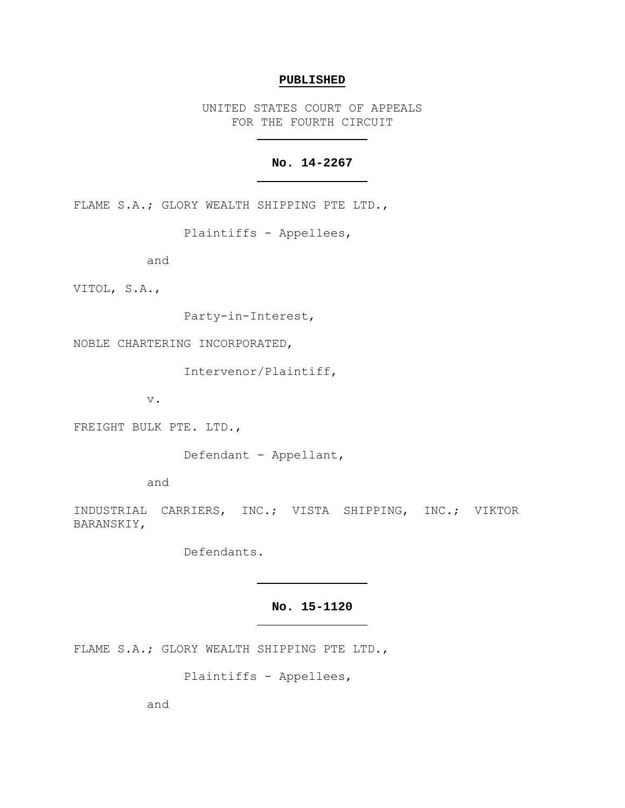### **PUBLISHED**

UNITED STATES COURT OF APPEALS FOR THE FOURTH CIRCUIT

# **No. 14-2267**

FLAME S.A.; GLORY WEALTH SHIPPING PTE LTD.,

Plaintiffs - Appellees,

and

VITOL, S.A.,

Party-in-Interest,

NOBLE CHARTERING INCORPORATED,

Intervenor/Plaintiff,

v.

FREIGHT BULK PTE. LTD.,

Defendant - Appellant,

and

INDUSTRIAL CARRIERS, INC.; VISTA SHIPPING, INC.; VIKTOR BARANSKIY,

Defendants.

### **No. 15-1120**

FLAME S.A.; GLORY WEALTH SHIPPING PTE LTD.,

Plaintiffs - Appellees,

and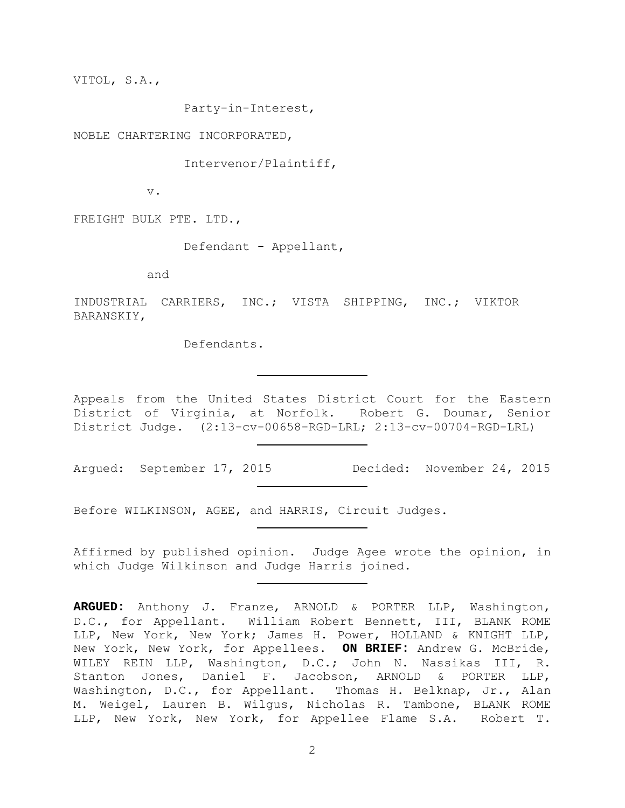VITOL, S.A.,

Party-in-Interest,

NOBLE CHARTERING INCORPORATED,

Intervenor/Plaintiff,

v.

FREIGHT BULK PTE. LTD.,

Defendant - Appellant,

and

INDUSTRIAL CARRIERS, INC.; VISTA SHIPPING, INC.; VIKTOR BARANSKIY,

Defendants.

Appeals from the United States District Court for the Eastern District of Virginia, at Norfolk. Robert G. Doumar, Senior District Judge. (2:13-cv-00658-RGD-LRL; 2:13-cv-00704-RGD-LRL)

Argued: September 17, 2015 Decided: November 24, 2015

Before WILKINSON, AGEE, and HARRIS, Circuit Judges.

Affirmed by published opinion. Judge Agee wrote the opinion, in which Judge Wilkinson and Judge Harris joined.

**ARGUED:** Anthony J. Franze, ARNOLD & PORTER LLP, Washington, D.C., for Appellant. William Robert Bennett, III, BLANK ROME LLP, New York, New York; James H. Power, HOLLAND & KNIGHT LLP, New York, New York, for Appellees. **ON BRIEF:** Andrew G. McBride, WILEY REIN LLP, Washington, D.C.; John N. Nassikas III, R. Stanton Jones, Daniel F. Jacobson, ARNOLD & PORTER LLP, Washington, D.C., for Appellant. Thomas H. Belknap, Jr., Alan M. Weigel, Lauren B. Wilgus, Nicholas R. Tambone, BLANK ROME LLP, New York, New York, for Appellee Flame S.A. Robert T.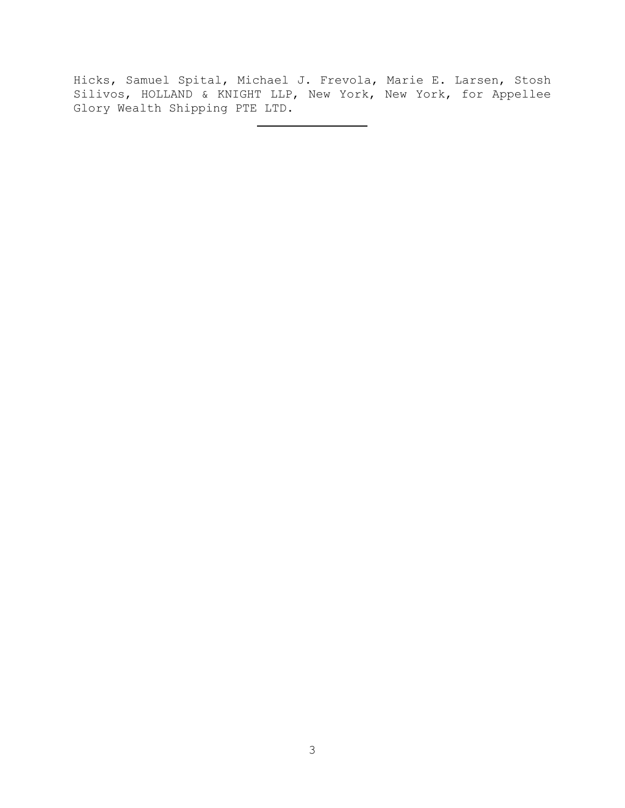Hicks, Samuel Spital, Michael J. Frevola, Marie E. Larsen, Stosh Silivos, HOLLAND & KNIGHT LLP, New York, New York, for Appellee Glory Wealth Shipping PTE LTD.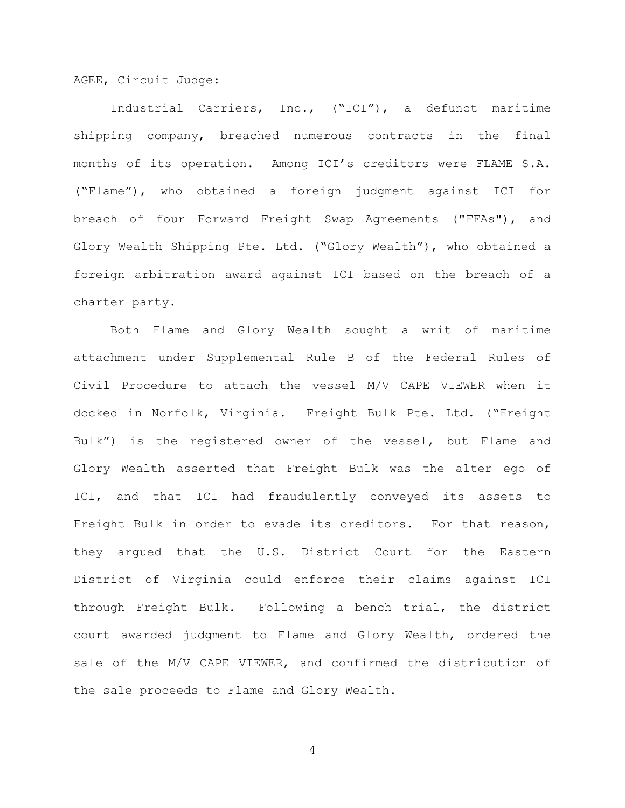AGEE, Circuit Judge:

Industrial Carriers, Inc., ("ICI"), a defunct maritime shipping company, breached numerous contracts in the final months of its operation. Among ICI's creditors were FLAME S.A. ("Flame"), who obtained a foreign judgment against ICI for breach of four Forward Freight Swap Agreements ("FFAs"), and Glory Wealth Shipping Pte. Ltd. ("Glory Wealth"), who obtained a foreign arbitration award against ICI based on the breach of a charter party.

 Both Flame and Glory Wealth sought a writ of maritime attachment under Supplemental Rule B of the Federal Rules of Civil Procedure to attach the vessel M/V CAPE VIEWER when it docked in Norfolk, Virginia. Freight Bulk Pte. Ltd. ("Freight Bulk") is the registered owner of the vessel, but Flame and Glory Wealth asserted that Freight Bulk was the alter ego of ICI, and that ICI had fraudulently conveyed its assets to Freight Bulk in order to evade its creditors. For that reason, they argued that the U.S. District Court for the Eastern District of Virginia could enforce their claims against ICI through Freight Bulk. Following a bench trial, the district court awarded judgment to Flame and Glory Wealth, ordered the sale of the M/V CAPE VIEWER, and confirmed the distribution of the sale proceeds to Flame and Glory Wealth.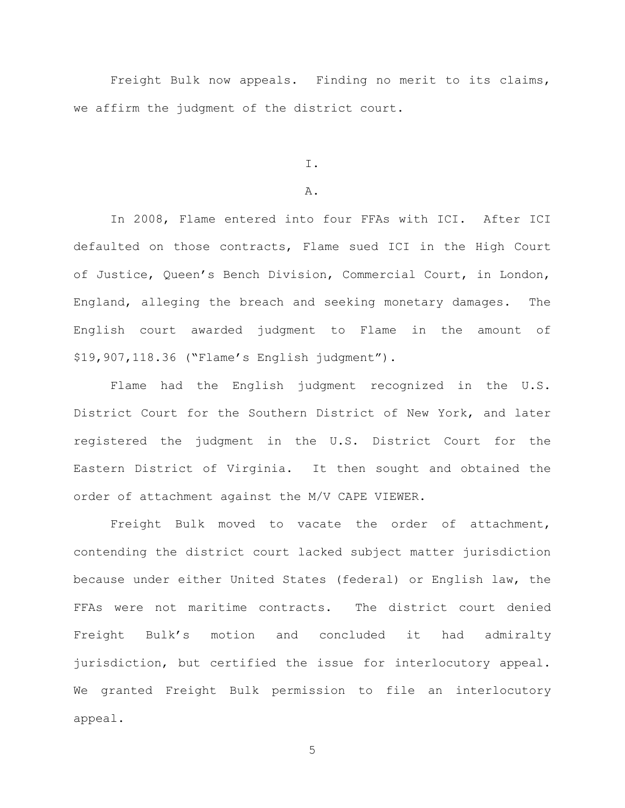Freight Bulk now appeals. Finding no merit to its claims, we affirm the judgment of the district court.

I.

## A.

In 2008, Flame entered into four FFAs with ICI. After ICI defaulted on those contracts, Flame sued ICI in the High Court of Justice, Queen's Bench Division, Commercial Court, in London, England, alleging the breach and seeking monetary damages. The English court awarded judgment to Flame in the amount of \$19,907,118.36 ("Flame's English judgment").

Flame had the English judgment recognized in the U.S. District Court for the Southern District of New York, and later registered the judgment in the U.S. District Court for the Eastern District of Virginia. It then sought and obtained the order of attachment against the M/V CAPE VIEWER.

Freight Bulk moved to vacate the order of attachment, contending the district court lacked subject matter jurisdiction because under either United States (federal) or English law, the FFAs were not maritime contracts. The district court denied Freight Bulk's motion and concluded it had admiralty jurisdiction, but certified the issue for interlocutory appeal. We granted Freight Bulk permission to file an interlocutory appeal.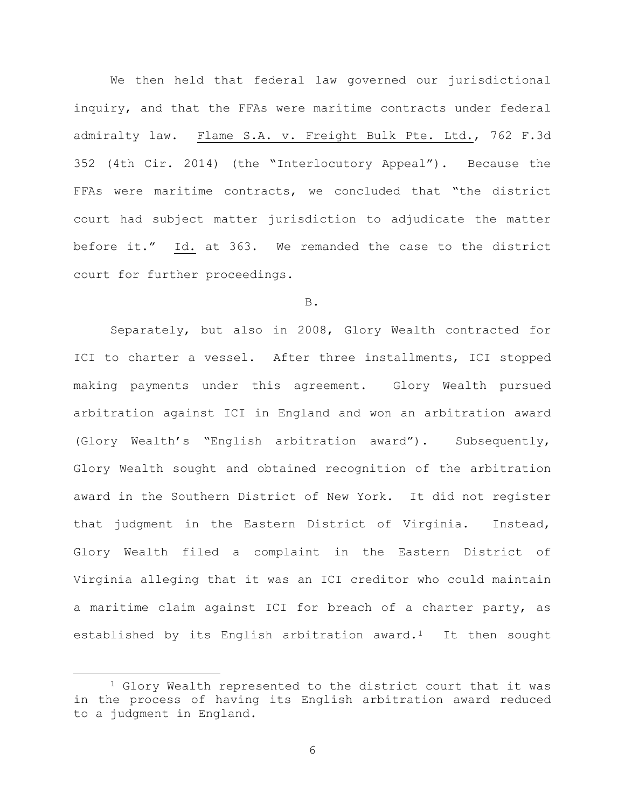We then held that federal law governed our jurisdictional inquiry, and that the FFAs were maritime contracts under federal admiralty law. Flame S.A. v. Freight Bulk Pte. Ltd., 762 F.3d 352 (4th Cir. 2014) (the "Interlocutory Appeal"). Because the FFAs were maritime contracts, we concluded that "the district court had subject matter jurisdiction to adjudicate the matter before it." Id. at 363. We remanded the case to the district court for further proceedings.

### B.

Separately, but also in 2008, Glory Wealth contracted for ICI to charter a vessel. After three installments, ICI stopped making payments under this agreement. Glory Wealth pursued arbitration against ICI in England and won an arbitration award (Glory Wealth's "English arbitration award"). Subsequently, Glory Wealth sought and obtained recognition of the arbitration award in the Southern District of New York. It did not register that judgment in the Eastern District of Virginia. Instead, Glory Wealth filed a complaint in the Eastern District of Virginia alleging that it was an ICI creditor who could maintain a maritime claim against ICI for breach of a charter party, as established by its English arbitration award.<sup>1</sup> It then sought

<span id="page-5-0"></span><sup>&</sup>lt;sup>1</sup> Glory Wealth represented to the district court that it was in the process of having its English arbitration award reduced to a judgment in England.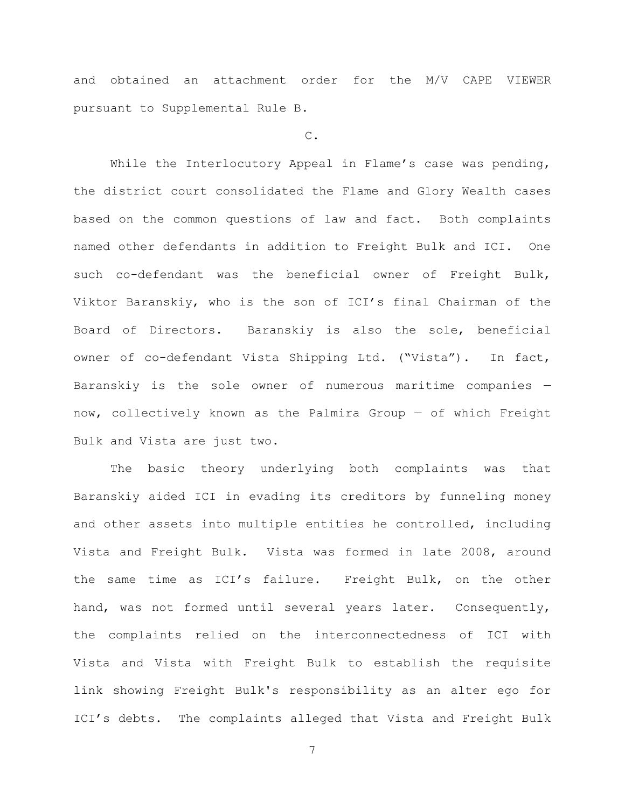and obtained an attachment order for the M/V CAPE VIEWER pursuant to Supplemental Rule B.

C.

While the Interlocutory Appeal in Flame's case was pending, the district court consolidated the Flame and Glory Wealth cases based on the common questions of law and fact. Both complaints named other defendants in addition to Freight Bulk and ICI. One such co-defendant was the beneficial owner of Freight Bulk, Viktor Baranskiy, who is the son of ICI's final Chairman of the Board of Directors. Baranskiy is also the sole, beneficial owner of co-defendant Vista Shipping Ltd. ("Vista"). In fact, Baranskiy is the sole owner of numerous maritime companies now, collectively known as the Palmira Group — of which Freight Bulk and Vista are just two.

The basic theory underlying both complaints was that Baranskiy aided ICI in evading its creditors by funneling money and other assets into multiple entities he controlled, including Vista and Freight Bulk. Vista was formed in late 2008, around the same time as ICI's failure. Freight Bulk, on the other hand, was not formed until several years later. Consequently, the complaints relied on the interconnectedness of ICI with Vista and Vista with Freight Bulk to establish the requisite link showing Freight Bulk's responsibility as an alter ego for ICI's debts. The complaints alleged that Vista and Freight Bulk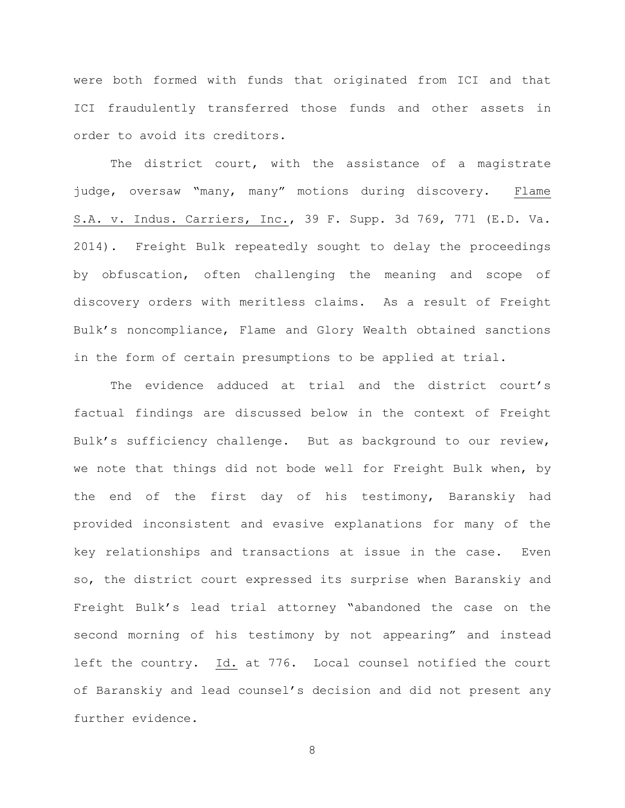were both formed with funds that originated from ICI and that ICI fraudulently transferred those funds and other assets in order to avoid its creditors.

The district court, with the assistance of a magistrate judge, oversaw "many, many" motions during discovery. Flame S.A. v. Indus. Carriers, Inc., 39 F. Supp. 3d 769, 771 (E.D. Va. 2014). Freight Bulk repeatedly sought to delay the proceedings by obfuscation, often challenging the meaning and scope of discovery orders with meritless claims. As a result of Freight Bulk's noncompliance, Flame and Glory Wealth obtained sanctions in the form of certain presumptions to be applied at trial.

The evidence adduced at trial and the district court's factual findings are discussed below in the context of Freight Bulk's sufficiency challenge. But as background to our review, we note that things did not bode well for Freight Bulk when, by the end of the first day of his testimony, Baranskiy had provided inconsistent and evasive explanations for many of the key relationships and transactions at issue in the case. Even so, the district court expressed its surprise when Baranskiy and Freight Bulk's lead trial attorney "abandoned the case on the second morning of his testimony by not appearing" and instead left the country. Id. at 776. Local counsel notified the court of Baranskiy and lead counsel's decision and did not present any further evidence.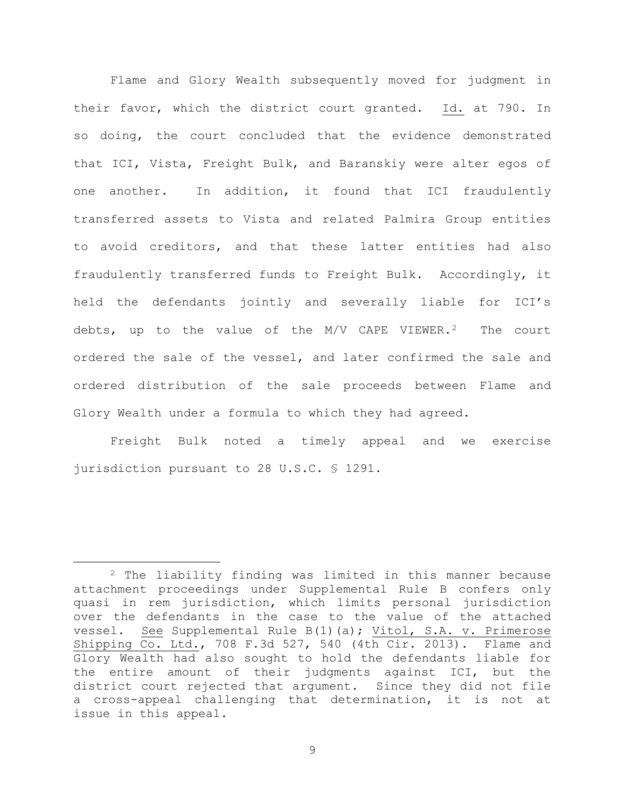Flame and Glory Wealth subsequently moved for judgment in their favor, which the district court granted. Id. at 790. In so doing, the court concluded that the evidence demonstrated that ICI, Vista, Freight Bulk, and Baranskiy were alter egos of one another. In addition, it found that ICI fraudulently transferred assets to Vista and related Palmira Group entities to avoid creditors, and that these latter entities had also fraudulently transferred funds to Freight Bulk. Accordingly, it held the defendants jointly and severally liable for ICI's debts, up to the value of the  $M/V$  CAPE VIEWER.<sup>2</sup> The court ordered the sale of the vessel, and later confirmed the sale and ordered distribution of the sale proceeds between Flame and Glory Wealth under a formula to which they had agreed.

Freight Bulk noted a timely appeal and we exercise jurisdiction pursuant to 28 U.S.C. § 1291.

<span id="page-8-0"></span> <sup>2</sup> The liability finding was limited in this manner because attachment proceedings under Supplemental Rule B confers only quasi in rem jurisdiction, which limits personal jurisdiction over the defendants in the case to the value of the attached vessel. See Supplemental Rule B(1)(a); Vitol, S.A. v. Primerose Shipping Co. Ltd., 708 F.3d 527, 540 (4th Cir. 2013). Flame and Glory Wealth had also sought to hold the defendants liable for the entire amount of their judgments against ICI, but the district court rejected that argument. Since they did not file a cross-appeal challenging that determination, it is not at issue in this appeal.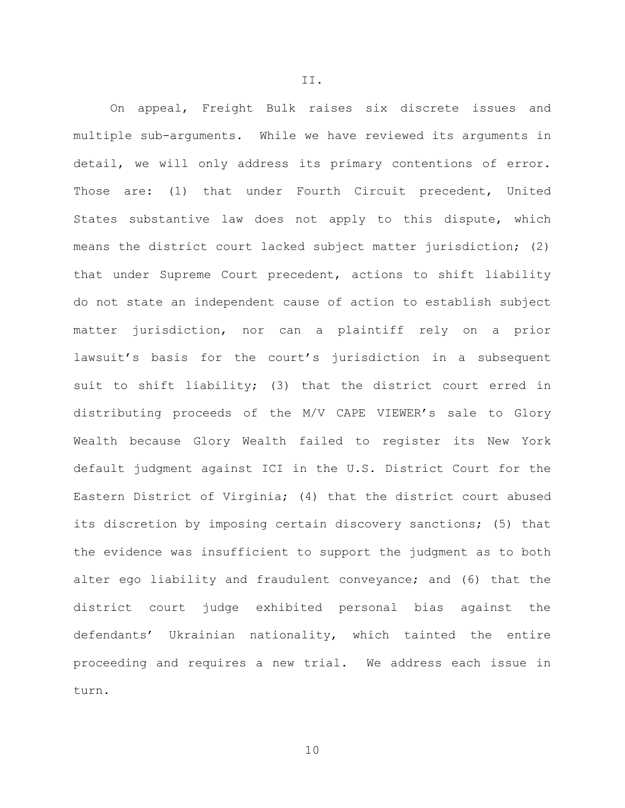On appeal, Freight Bulk raises six discrete issues and multiple sub-arguments. While we have reviewed its arguments in detail, we will only address its primary contentions of error. Those are: (1) that under Fourth Circuit precedent, United States substantive law does not apply to this dispute, which means the district court lacked subject matter jurisdiction; (2) that under Supreme Court precedent, actions to shift liability do not state an independent cause of action to establish subject matter jurisdiction, nor can a plaintiff rely on a prior lawsuit's basis for the court's jurisdiction in a subsequent suit to shift liability; (3) that the district court erred in distributing proceeds of the M/V CAPE VIEWER's sale to Glory Wealth because Glory Wealth failed to register its New York default judgment against ICI in the U.S. District Court for the Eastern District of Virginia; (4) that the district court abused its discretion by imposing certain discovery sanctions; (5) that the evidence was insufficient to support the judgment as to both alter ego liability and fraudulent conveyance; and (6) that the district court judge exhibited personal bias against the defendants' Ukrainian nationality, which tainted the entire proceeding and requires a new trial. We address each issue in turn.

II.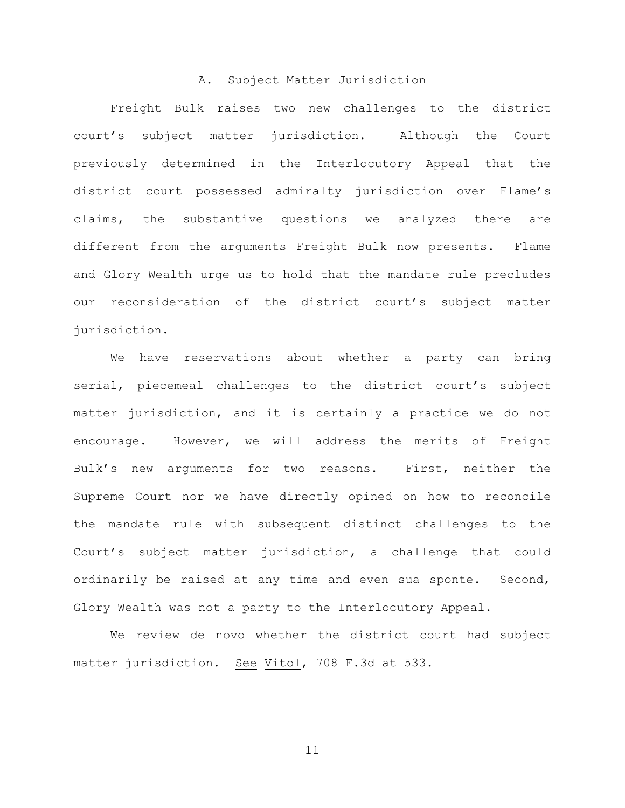### A. Subject Matter Jurisdiction

Freight Bulk raises two new challenges to the district court's subject matter jurisdiction. Although the Court previously determined in the Interlocutory Appeal that the district court possessed admiralty jurisdiction over Flame's claims, the substantive questions we analyzed there are different from the arguments Freight Bulk now presents. Flame and Glory Wealth urge us to hold that the mandate rule precludes our reconsideration of the district court's subject matter jurisdiction.

We have reservations about whether a party can bring serial, piecemeal challenges to the district court's subject matter jurisdiction, and it is certainly a practice we do not encourage. However, we will address the merits of Freight Bulk's new arguments for two reasons. First, neither the Supreme Court nor we have directly opined on how to reconcile the mandate rule with subsequent distinct challenges to the Court's subject matter jurisdiction, a challenge that could ordinarily be raised at any time and even sua sponte. Second, Glory Wealth was not a party to the Interlocutory Appeal.

We review de novo whether the district court had subject matter jurisdiction. See Vitol, 708 F.3d at 533.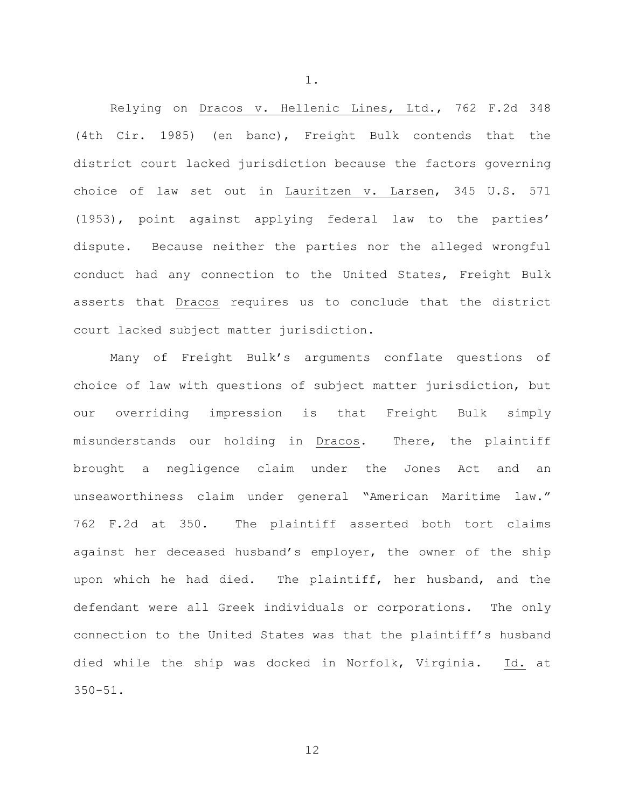Relying on Dracos v. Hellenic Lines, Ltd., 762 F.2d 348 (4th Cir. 1985) (en banc), Freight Bulk contends that the district court lacked jurisdiction because the factors governing choice of law set out in Lauritzen v. Larsen, 345 U.S. 571 (1953), point against applying federal law to the parties' dispute. Because neither the parties nor the alleged wrongful conduct had any connection to the United States, Freight Bulk asserts that Dracos requires us to conclude that the district court lacked subject matter jurisdiction.

1.

Many of Freight Bulk's arguments conflate questions of choice of law with questions of subject matter jurisdiction, but our overriding impression is that Freight Bulk simply misunderstands our holding in Dracos. There, the plaintiff brought a negligence claim under the Jones Act and an unseaworthiness claim under general "American Maritime law." 762 F.2d at 350. The plaintiff asserted both tort claims against her deceased husband's employer, the owner of the ship upon which he had died. The plaintiff, her husband, and the defendant were all Greek individuals or corporations. The only connection to the United States was that the plaintiff's husband died while the ship was docked in Norfolk, Virginia. Id. at 350-51.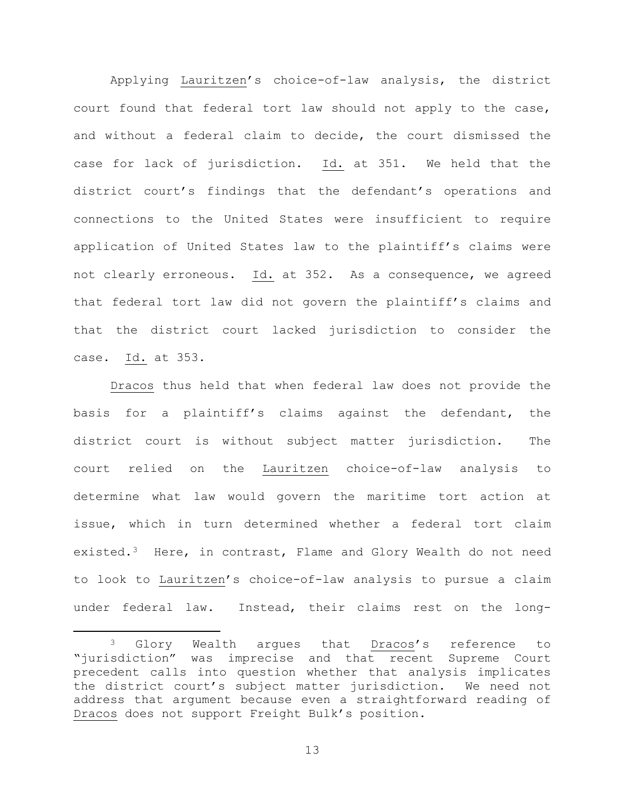Applying Lauritzen's choice-of-law analysis, the district court found that federal tort law should not apply to the case, and without a federal claim to decide, the court dismissed the case for lack of jurisdiction. Id. at 351. We held that the district court's findings that the defendant's operations and connections to the United States were insufficient to require application of United States law to the plaintiff's claims were not clearly erroneous. Id. at 352. As a consequence, we agreed that federal tort law did not govern the plaintiff's claims and that the district court lacked jurisdiction to consider the case. Id. at 353.

Dracos thus held that when federal law does not provide the basis for a plaintiff's claims against the defendant, the district court is without subject matter jurisdiction. The court relied on the Lauritzen choice-of-law analysis to determine what law would govern the maritime tort action at issue, which in turn determined whether a federal tort claim existed.[3](#page-12-0) Here, in contrast, Flame and Glory Wealth do not need to look to Lauritzen's choice-of-law analysis to pursue a claim under federal law. Instead, their claims rest on the long-

<span id="page-12-0"></span> <sup>3</sup> Glory Wealth argues that Dracos's reference to "jurisdiction" was imprecise and that recent Supreme Court precedent calls into question whether that analysis implicates the district court's subject matter jurisdiction. We need not address that argument because even a straightforward reading of Dracos does not support Freight Bulk's position.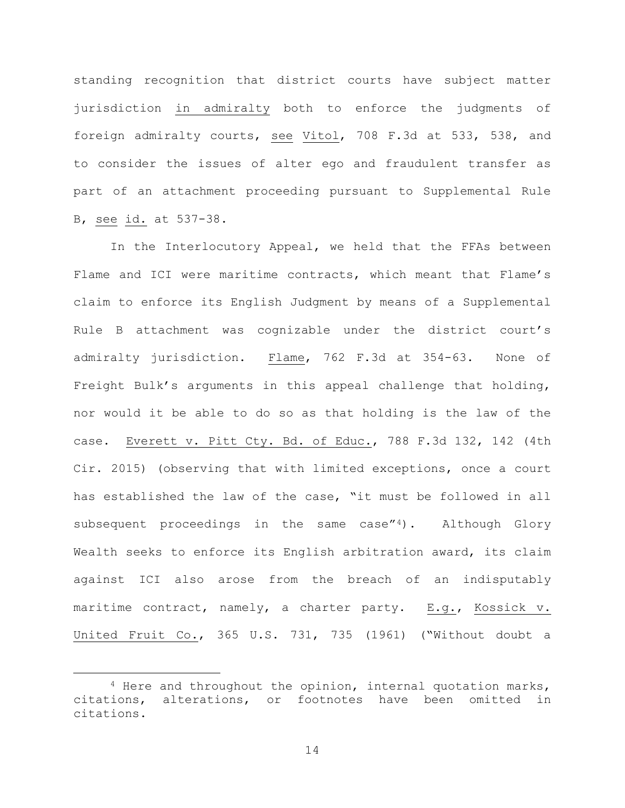standing recognition that district courts have subject matter jurisdiction in admiralty both to enforce the judgments of foreign admiralty courts, see Vitol, 708 F.3d at 533, 538, and to consider the issues of alter ego and fraudulent transfer as part of an attachment proceeding pursuant to Supplemental Rule B, see id. at 537-38.

In the Interlocutory Appeal, we held that the FFAs between Flame and ICI were maritime contracts, which meant that Flame's claim to enforce its English Judgment by means of a Supplemental Rule B attachment was cognizable under the district court's admiralty jurisdiction. Flame, 762 F.3d at 354-63. None of Freight Bulk's arguments in this appeal challenge that holding, nor would it be able to do so as that holding is the law of the case. Everett v. Pitt Cty. Bd. of Educ., 788 F.3d 132, 142 (4th Cir. 2015) (observing that with limited exceptions, once a court has established the law of the case, "it must be followed in all subsequent proceedings in the same case" $4$ ). Although Glory Wealth seeks to enforce its English arbitration award, its claim against ICI also arose from the breach of an indisputably maritime contract, namely, a charter party. E.g., Kossick v. United Fruit Co., 365 U.S. 731, 735 (1961) ("Without doubt a

<span id="page-13-0"></span> <sup>4</sup> Here and throughout the opinion, internal quotation marks, citations, alterations, or footnotes have been omitted in citations.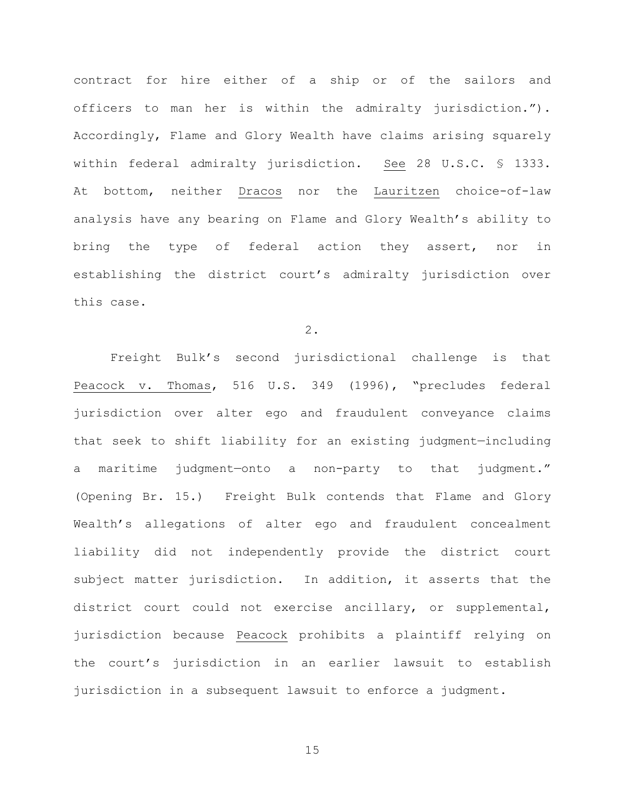contract for hire either of a ship or of the sailors and officers to man her is within the admiralty jurisdiction."). Accordingly, Flame and Glory Wealth have claims arising squarely within federal admiralty jurisdiction. See 28 U.S.C. § 1333. At bottom, neither Dracos nor the Lauritzen choice-of-law analysis have any bearing on Flame and Glory Wealth's ability to bring the type of federal action they assert, nor in establishing the district court's admiralty jurisdiction over this case.

2.

 Freight Bulk's second jurisdictional challenge is that Peacock v. Thomas, 516 U.S. 349 (1996), "precludes federal jurisdiction over alter ego and fraudulent conveyance claims that seek to shift liability for an existing judgment—including a maritime judgment—onto a non-party to that judgment." (Opening Br. 15.) Freight Bulk contends that Flame and Glory Wealth's allegations of alter ego and fraudulent concealment liability did not independently provide the district court subject matter jurisdiction. In addition, it asserts that the district court could not exercise ancillary, or supplemental, jurisdiction because Peacock prohibits a plaintiff relying on the court's jurisdiction in an earlier lawsuit to establish jurisdiction in a subsequent lawsuit to enforce a judgment.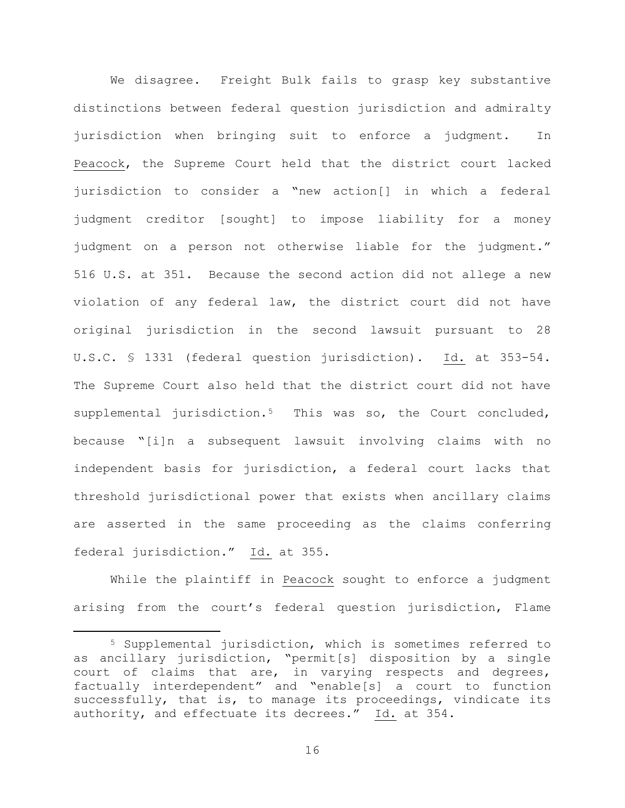We disagree. Freight Bulk fails to grasp key substantive distinctions between federal question jurisdiction and admiralty jurisdiction when bringing suit to enforce a judgment. In Peacock, the Supreme Court held that the district court lacked jurisdiction to consider a "new action[] in which a federal judgment creditor [sought] to impose liability for a money judgment on a person not otherwise liable for the judgment." 516 U.S. at 351. Because the second action did not allege a new violation of any federal law, the district court did not have original jurisdiction in the second lawsuit pursuant to 28 U.S.C. § 1331 (federal question jurisdiction). Id. at 353-54. The Supreme Court also held that the district court did not have supplemental jurisdiction.<sup>5</sup> This was so, the Court concluded, because "[i]n a subsequent lawsuit involving claims with no independent basis for jurisdiction, a federal court lacks that threshold jurisdictional power that exists when ancillary claims are asserted in the same proceeding as the claims conferring federal jurisdiction." Id. at 355.

While the plaintiff in Peacock sought to enforce a judgment arising from the court's federal question jurisdiction, Flame

<span id="page-15-0"></span> <sup>5</sup> Supplemental jurisdiction, which is sometimes referred to as ancillary jurisdiction, "permit[s] disposition by a single court of claims that are, in varying respects and degrees, factually interdependent" and "enable[s] a court to function successfully, that is, to manage its proceedings, vindicate its authority, and effectuate its decrees." Id. at 354.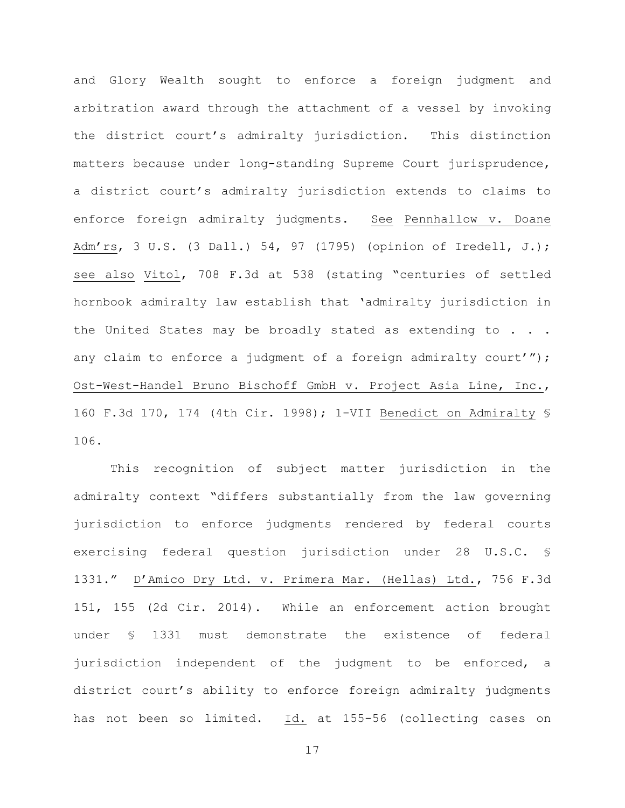and Glory Wealth sought to enforce a foreign judgment and arbitration award through the attachment of a vessel by invoking the district court's admiralty jurisdiction. This distinction matters because under long-standing Supreme Court jurisprudence, a district court's admiralty jurisdiction extends to claims to enforce foreign admiralty judgments. See Pennhallow v. Doane Adm'rs, 3 U.S. (3 Dall.) 54, 97 (1795) (opinion of Iredell, J.); see also Vitol, 708 F.3d at 538 (stating "centuries of settled hornbook admiralty law establish that 'admiralty jurisdiction in the United States may be broadly stated as extending to . . . any claim to enforce a judgment of a foreign admiralty court'"); Ost-West-Handel Bruno Bischoff GmbH v. Project Asia Line, Inc., 160 F.3d 170, 174 (4th Cir. 1998); 1-VII Benedict on Admiralty § 106.

This recognition of subject matter jurisdiction in the admiralty context "differs substantially from the law governing jurisdiction to enforce judgments rendered by federal courts exercising federal question jurisdiction under 28 U.S.C. § 1331." D'Amico Dry Ltd. v. Primera Mar. (Hellas) Ltd., 756 F.3d 151, 155 (2d Cir. 2014). While an enforcement action brought under § 1331 must demonstrate the existence of federal jurisdiction independent of the judgment to be enforced, a district court's ability to enforce foreign admiralty judgments has not been so limited. Id. at 155-56 (collecting cases on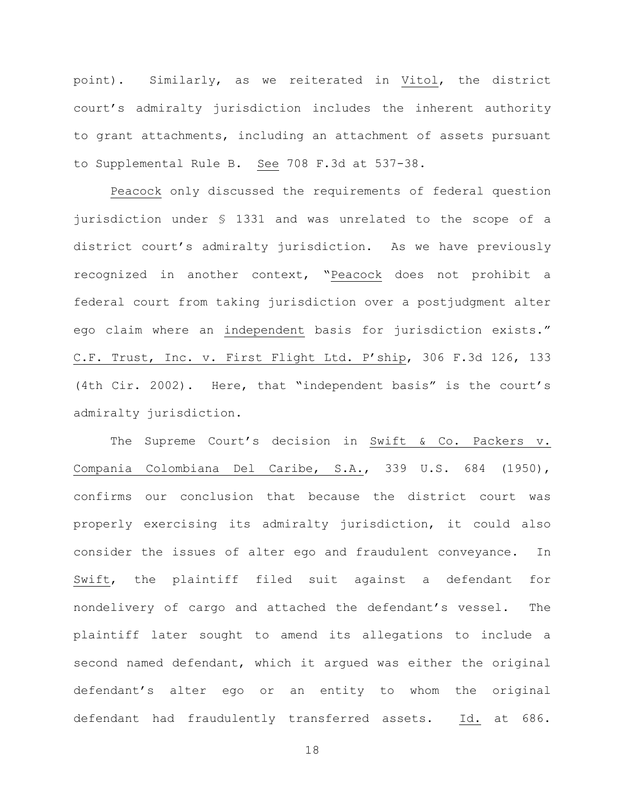point). Similarly, as we reiterated in Vitol, the district court's admiralty jurisdiction includes the inherent authority to grant attachments, including an attachment of assets pursuant to Supplemental Rule B. See 708 F.3d at 537-38.

Peacock only discussed the requirements of federal question jurisdiction under § 1331 and was unrelated to the scope of a district court's admiralty jurisdiction. As we have previously recognized in another context, "Peacock does not prohibit a federal court from taking jurisdiction over a postjudgment alter ego claim where an independent basis for jurisdiction exists." C.F. Trust, Inc. v. First Flight Ltd. P'ship, 306 F.3d 126, 133 (4th Cir. 2002). Here, that "independent basis" is the court's admiralty jurisdiction.

The Supreme Court's decision in Swift & Co. Packers v. Compania Colombiana Del Caribe, S.A., 339 U.S. 684 (1950), confirms our conclusion that because the district court was properly exercising its admiralty jurisdiction, it could also consider the issues of alter ego and fraudulent conveyance. In Swift, the plaintiff filed suit against a defendant for nondelivery of cargo and attached the defendant's vessel. The plaintiff later sought to amend its allegations to include a second named defendant, which it argued was either the original defendant's alter ego or an entity to whom the original defendant had fraudulently transferred assets. Id. at 686.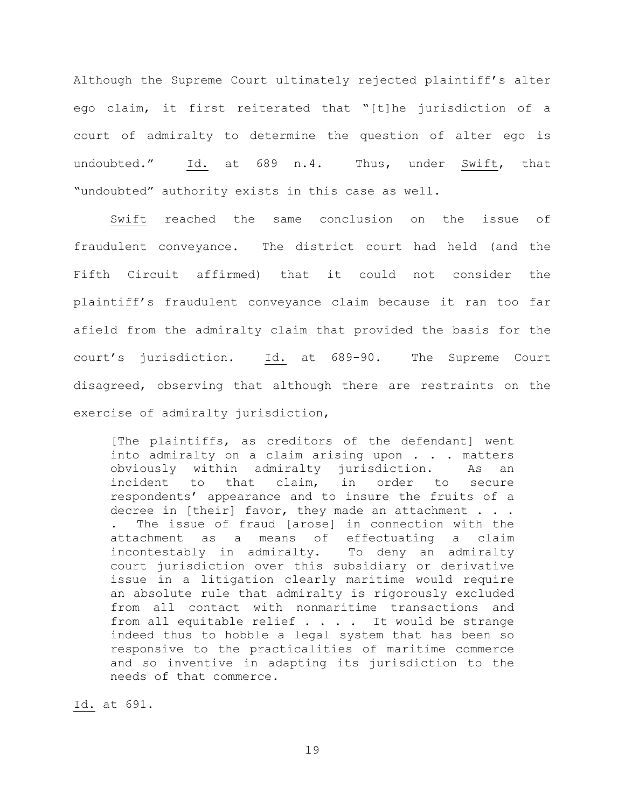Although the Supreme Court ultimately rejected plaintiff's alter ego claim, it first reiterated that "[t]he jurisdiction of a court of admiralty to determine the question of alter ego is undoubted." Id. at 689 n.4. Thus, under Swift, that "undoubted" authority exists in this case as well.

Swift reached the same conclusion on the issue of fraudulent conveyance. The district court had held (and the Fifth Circuit affirmed) that it could not consider the plaintiff's fraudulent conveyance claim because it ran too far afield from the admiralty claim that provided the basis for the court's jurisdiction. Id. at 689-90. The Supreme Court disagreed, observing that although there are restraints on the exercise of admiralty jurisdiction,

[The plaintiffs, as creditors of the defendant] went into admiralty on a claim arising upon . . . matters obviously within admiralty jurisdiction. As an<br>incident to that claim, in order to secure order to secure respondents' appearance and to insure the fruits of a decree in [their] favor, they made an attachment . . . . The issue of fraud [arose] in connection with the attachment as a means of effectuating a claim as a means of effectuating a claim<br>ly in admiralty. To deny an admiralty incontestably in admiralty. court jurisdiction over this subsidiary or derivative issue in a litigation clearly maritime would require an absolute rule that admiralty is rigorously excluded from all contact with nonmaritime transactions and from all equitable relief . . . . It would be strange indeed thus to hobble a legal system that has been so responsive to the practicalities of maritime commerce and so inventive in adapting its jurisdiction to the needs of that commerce.

Id. at 691.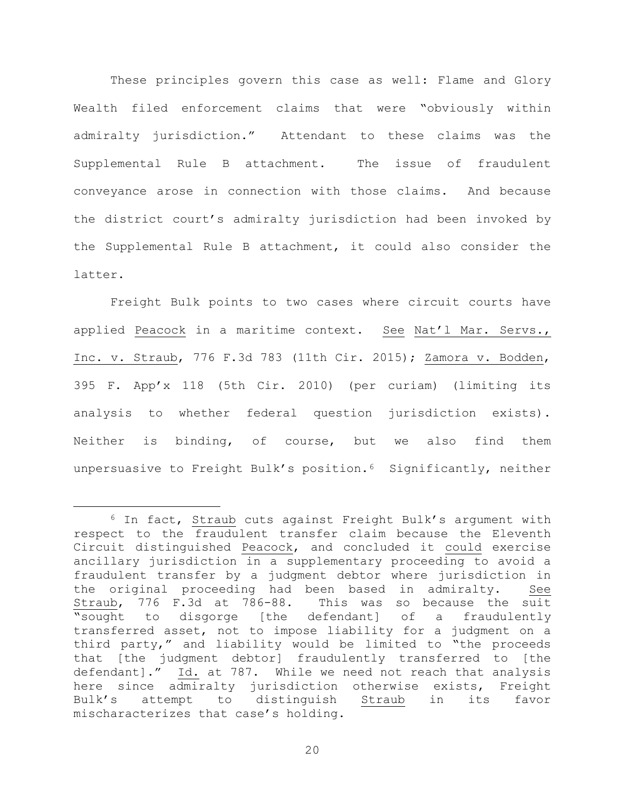These principles govern this case as well: Flame and Glory Wealth filed enforcement claims that were "obviously within admiralty jurisdiction." Attendant to these claims was the Supplemental Rule B attachment. The issue of fraudulent conveyance arose in connection with those claims. And because the district court's admiralty jurisdiction had been invoked by the Supplemental Rule B attachment, it could also consider the latter.

Freight Bulk points to two cases where circuit courts have applied Peacock in a maritime context. See Nat'l Mar. Servs., Inc. v. Straub, 776 F.3d 783 (11th Cir. 2015); Zamora v. Bodden, 395 F. App'x 118 (5th Cir. 2010) (per curiam) (limiting its analysis to whether federal question jurisdiction exists). Neither is binding, of course, but we also find them unpersuasive to Freight Bulk's position.<sup>6</sup> Significantly, neither

<span id="page-19-0"></span> <sup>6</sup> In fact, Straub cuts against Freight Bulk's argument with respect to the fraudulent transfer claim because the Eleventh Circuit distinguished Peacock, and concluded it could exercise ancillary jurisdiction in a supplementary proceeding to avoid a fraudulent transfer by a judgment debtor where jurisdiction in<br>the original proceeding had been based in admiralty. See the original proceeding had been based in admiralty. Straub, 776 F.3d at 786-88. This was so because the suit "sought to disgorge [the defendant] of a fraudulently transferred asset, not to impose liability for a judgment on a third party," and liability would be limited to "the proceeds that [the judgment debtor] fraudulently transferred to [the defendant]." Id. at 787. While we need not reach that analysis here since admiralty jurisdiction otherwise exists, Freight<br>Bulk's attempt to distinguish Straub in its favor Bulk's attempt to distinguish Straub in its favor mischaracterizes that case's holding.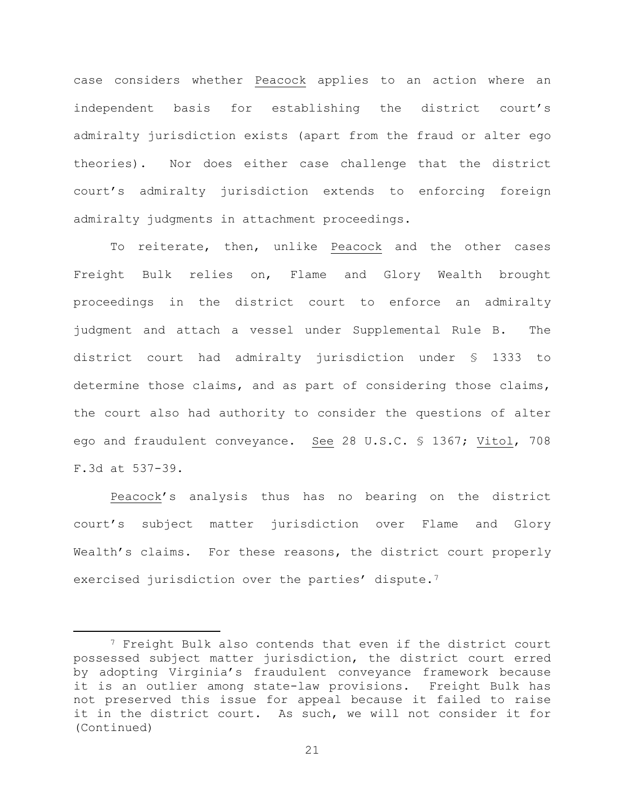case considers whether Peacock applies to an action where an independent basis for establishing the district court's admiralty jurisdiction exists (apart from the fraud or alter ego theories). Nor does either case challenge that the district court's admiralty jurisdiction extends to enforcing foreign admiralty judgments in attachment proceedings.

To reiterate, then, unlike Peacock and the other cases Freight Bulk relies on, Flame and Glory Wealth brought proceedings in the district court to enforce an admiralty judgment and attach a vessel under Supplemental Rule B. The district court had admiralty jurisdiction under § 1333 to determine those claims, and as part of considering those claims, the court also had authority to consider the questions of alter ego and fraudulent conveyance. See 28 U.S.C. § 1367; Vitol, 708 F.3d at 537-39.

Peacock's analysis thus has no bearing on the district court's subject matter jurisdiction over Flame and Glory Wealth's claims. For these reasons, the district court properly exercised jurisdiction over the parties' dispute.<sup>[7](#page-20-0)</sup>

<span id="page-20-0"></span><sup>&</sup>lt;sup>7</sup> Freight Bulk also contends that even if the district court possessed subject matter jurisdiction, the district court erred by adopting Virginia's fraudulent conveyance framework because it is an outlier among state-law provisions. Freight Bulk has not preserved this issue for appeal because it failed to raise it in the district court. As such, we will not consider it for (Continued)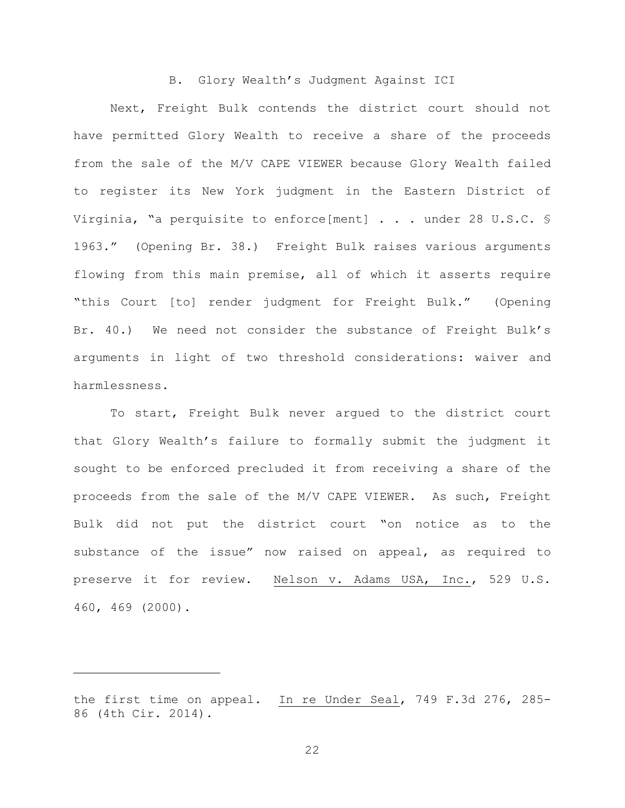#### B. Glory Wealth's Judgment Against ICI

Next, Freight Bulk contends the district court should not have permitted Glory Wealth to receive a share of the proceeds from the sale of the M/V CAPE VIEWER because Glory Wealth failed to register its New York judgment in the Eastern District of Virginia, "a perquisite to enforce[ment] . . . under 28 U.S.C. § 1963." (Opening Br. 38.) Freight Bulk raises various arguments flowing from this main premise, all of which it asserts require "this Court [to] render judgment for Freight Bulk." (Opening Br. 40.) We need not consider the substance of Freight Bulk's arguments in light of two threshold considerations: waiver and harmlessness.

To start, Freight Bulk never argued to the district court that Glory Wealth's failure to formally submit the judgment it sought to be enforced precluded it from receiving a share of the proceeds from the sale of the M/V CAPE VIEWER. As such, Freight Bulk did not put the district court "on notice as to the substance of the issue" now raised on appeal, as required to preserve it for review. Nelson v. Adams USA, Inc., 529 U.S. 460, 469 (2000).

Ĩ.

the first time on appeal. In re Under Seal, 749 F.3d 276, 285- 86 (4th Cir. 2014).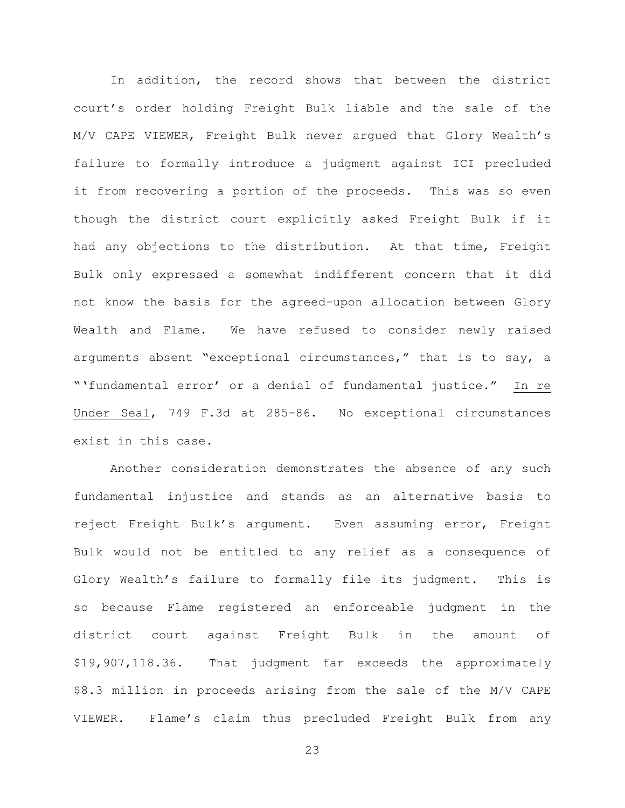In addition, the record shows that between the district court's order holding Freight Bulk liable and the sale of the M/V CAPE VIEWER, Freight Bulk never argued that Glory Wealth's failure to formally introduce a judgment against ICI precluded it from recovering a portion of the proceeds. This was so even though the district court explicitly asked Freight Bulk if it had any objections to the distribution. At that time, Freight Bulk only expressed a somewhat indifferent concern that it did not know the basis for the agreed-upon allocation between Glory Wealth and Flame. We have refused to consider newly raised arguments absent "exceptional circumstances," that is to say, a "'fundamental error' or a denial of fundamental justice." In re Under Seal, 749 F.3d at 285-86. No exceptional circumstances exist in this case.

Another consideration demonstrates the absence of any such fundamental injustice and stands as an alternative basis to reject Freight Bulk's argument. Even assuming error, Freight Bulk would not be entitled to any relief as a consequence of Glory Wealth's failure to formally file its judgment. This is so because Flame registered an enforceable judgment in the district court against Freight Bulk in the amount of \$19,907,118.36. That judgment far exceeds the approximately \$8.3 million in proceeds arising from the sale of the M/V CAPE VIEWER. Flame's claim thus precluded Freight Bulk from any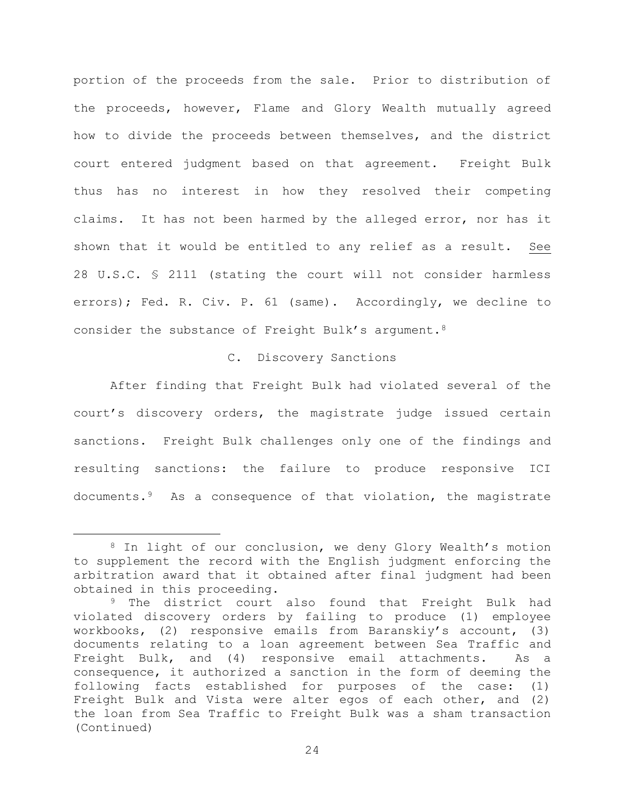portion of the proceeds from the sale. Prior to distribution of the proceeds, however, Flame and Glory Wealth mutually agreed how to divide the proceeds between themselves, and the district court entered judgment based on that agreement. Freight Bulk thus has no interest in how they resolved their competing claims. It has not been harmed by the alleged error, nor has it shown that it would be entitled to any relief as a result. See 28 U.S.C. § 2111 (stating the court will not consider harmless errors); Fed. R. Civ. P. 61 (same). Accordingly, we decline to consider the substance of Freight Bulk's argument[.8](#page-23-0)

### C. Discovery Sanctions

After finding that Freight Bulk had violated several of the court's discovery orders, the magistrate judge issued certain sanctions. Freight Bulk challenges only one of the findings and resulting sanctions: the failure to produce responsive ICI documents.[9](#page-23-1) As a consequence of that violation, the magistrate

<span id="page-23-0"></span> <sup>8</sup> In light of our conclusion, we deny Glory Wealth's motion to supplement the record with the English judgment enforcing the arbitration award that it obtained after final judgment had been obtained in this proceeding.

<span id="page-23-1"></span><sup>&</sup>lt;sup>9</sup> The district court also found that Freight Bulk had violated discovery orders by failing to produce (1) employee workbooks, (2) responsive emails from Baranskiy's account, (3) documents relating to a loan agreement between Sea Traffic and Freight Bulk, and (4) responsive email attachments. As a consequence, it authorized a sanction in the form of deeming the following facts established for purposes of the case: (1) Freight Bulk and Vista were alter egos of each other, and (2) the loan from Sea Traffic to Freight Bulk was a sham transaction (Continued)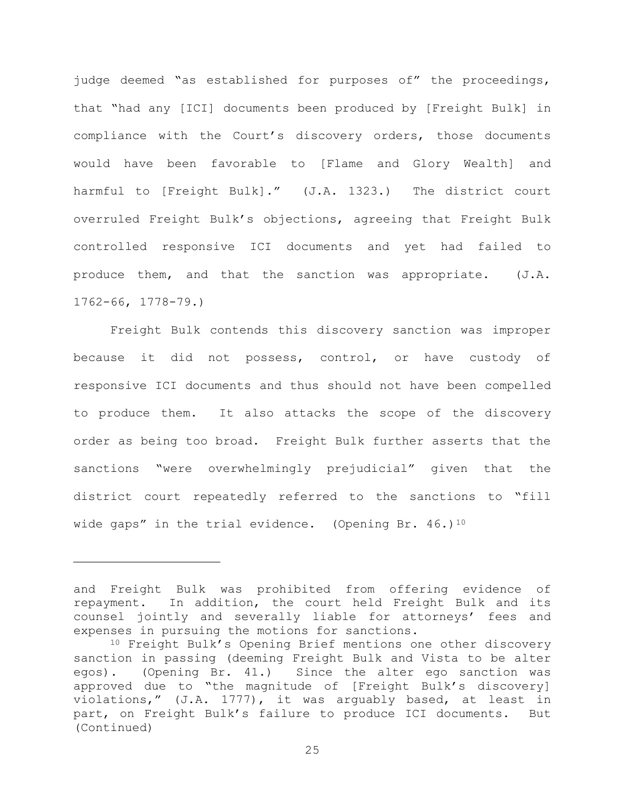judge deemed "as established for purposes of" the proceedings, that "had any [ICI] documents been produced by [Freight Bulk] in compliance with the Court's discovery orders, those documents would have been favorable to [Flame and Glory Wealth] and harmful to [Freight Bulk]." (J.A. 1323.) The district court overruled Freight Bulk's objections, agreeing that Freight Bulk controlled responsive ICI documents and yet had failed to produce them, and that the sanction was appropriate. (J.A. 1762-66, 1778-79.)

Freight Bulk contends this discovery sanction was improper because it did not possess, control, or have custody of responsive ICI documents and thus should not have been compelled to produce them. It also attacks the scope of the discovery order as being too broad. Freight Bulk further asserts that the sanctions "were overwhelmingly prejudicial" given that the district court repeatedly referred to the sanctions to "fill wide gaps" in the trial evidence. (Opening Br.  $46.1^{10}$  $46.1^{10}$  $46.1^{10}$ 

ī

and Freight Bulk was prohibited from offering evidence of repayment. In addition, the court held Freight Bulk and its counsel jointly and severally liable for attorneys' fees and expenses in pursuing the motions for sanctions.

<span id="page-24-0"></span><sup>10</sup> Freight Bulk's Opening Brief mentions one other discovery sanction in passing (deeming Freight Bulk and Vista to be alter egos). (Opening Br. 41.) Since the alter ego sanction was approved due to "the magnitude of [Freight Bulk's discovery] violations," (J.A. 1777), it was arguably based, at least in part, on Freight Bulk's failure to produce ICI documents. But (Continued)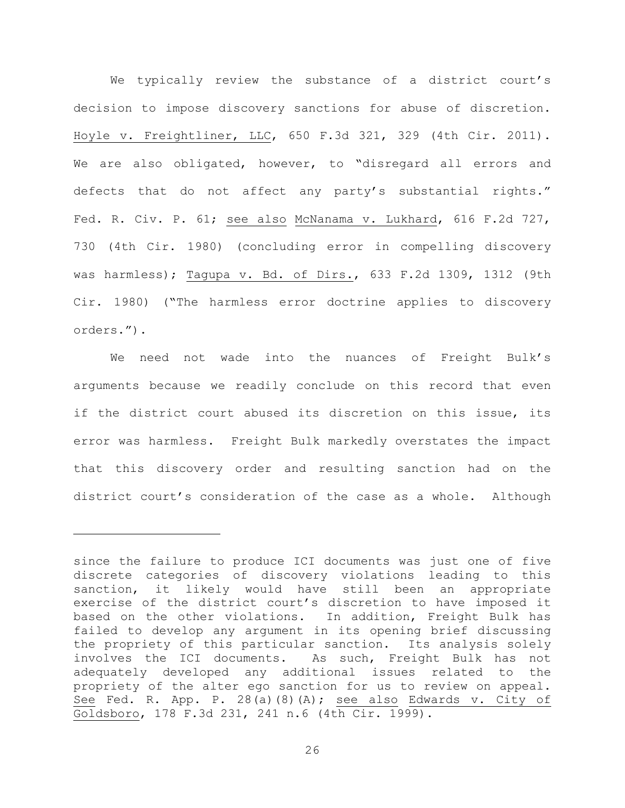We typically review the substance of a district court's decision to impose discovery sanctions for abuse of discretion. Hoyle v. Freightliner, LLC, 650 F.3d 321, 329 (4th Cir. 2011). We are also obligated, however, to "disregard all errors and defects that do not affect any party's substantial rights." Fed. R. Civ. P. 61; see also McNanama v. Lukhard, 616 F.2d 727, 730 (4th Cir. 1980) (concluding error in compelling discovery was harmless); Tagupa v. Bd. of Dirs., 633 F.2d 1309, 1312 (9th Cir. 1980) ("The harmless error doctrine applies to discovery orders.").

 We need not wade into the nuances of Freight Bulk's arguments because we readily conclude on this record that even if the district court abused its discretion on this issue, its error was harmless. Freight Bulk markedly overstates the impact that this discovery order and resulting sanction had on the district court's consideration of the case as a whole. Although

Ĩ.

since the failure to produce ICI documents was just one of five discrete categories of discovery violations leading to this sanction, it likely would have still been an appropriate exercise of the district court's discretion to have imposed it based on the other violations. In addition, Freight Bulk has failed to develop any argument in its opening brief discussing the propriety of this particular sanction. Its analysis solely<br>involves the ICI documents. As such, Freight Bulk has not As such, Freight Bulk has not adequately developed any additional issues related to the propriety of the alter ego sanction for us to review on appeal. See Fed. R. App. P. 28(a)(8)(A); see also Edwards v. City of Goldsboro, 178 F.3d 231, 241 n.6 (4th Cir. 1999).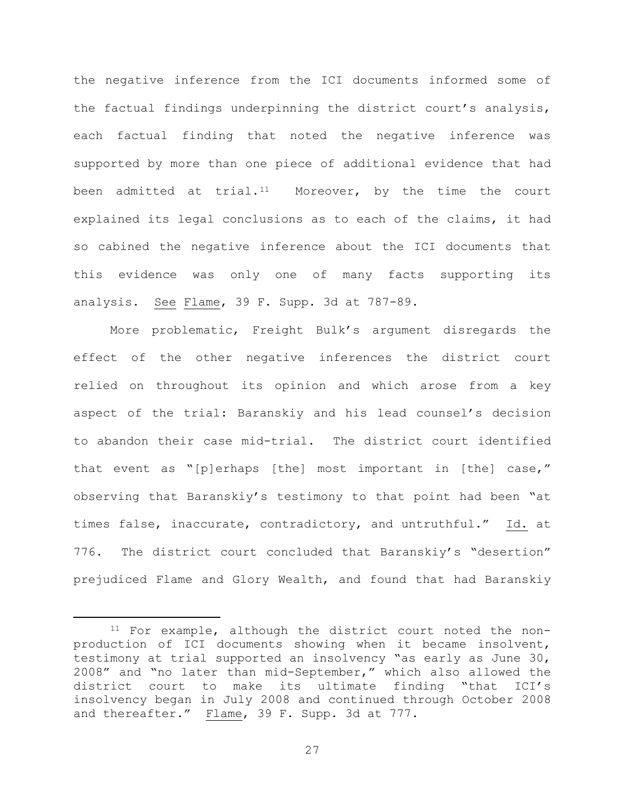the negative inference from the ICI documents informed some of the factual findings underpinning the district court's analysis, each factual finding that noted the negative inference was supported by more than one piece of additional evidence that had been admitted at trial.<sup>[11](#page-26-0)</sup> Moreover, by the time the court explained its legal conclusions as to each of the claims, it had so cabined the negative inference about the ICI documents that this evidence was only one of many facts supporting its analysis. See Flame, 39 F. Supp. 3d at 787-89.

More problematic, Freight Bulk's argument disregards the effect of the other negative inferences the district court relied on throughout its opinion and which arose from a key aspect of the trial: Baranskiy and his lead counsel's decision to abandon their case mid-trial. The district court identified that event as "[p]erhaps [the] most important in [the] case," observing that Baranskiy's testimony to that point had been "at times false, inaccurate, contradictory, and untruthful." Id. at 776. The district court concluded that Baranskiy's "desertion" prejudiced Flame and Glory Wealth, and found that had Baranskiy

<span id="page-26-0"></span> <sup>11</sup> For example, although the district court noted the nonproduction of ICI documents showing when it became insolvent, testimony at trial supported an insolvency "as early as June 30, 2008" and "no later than mid-September," which also allowed the district court to make its ultimate finding "that ICI's insolvency began in July 2008 and continued through October 2008 and thereafter." Flame, 39 F. Supp. 3d at 777.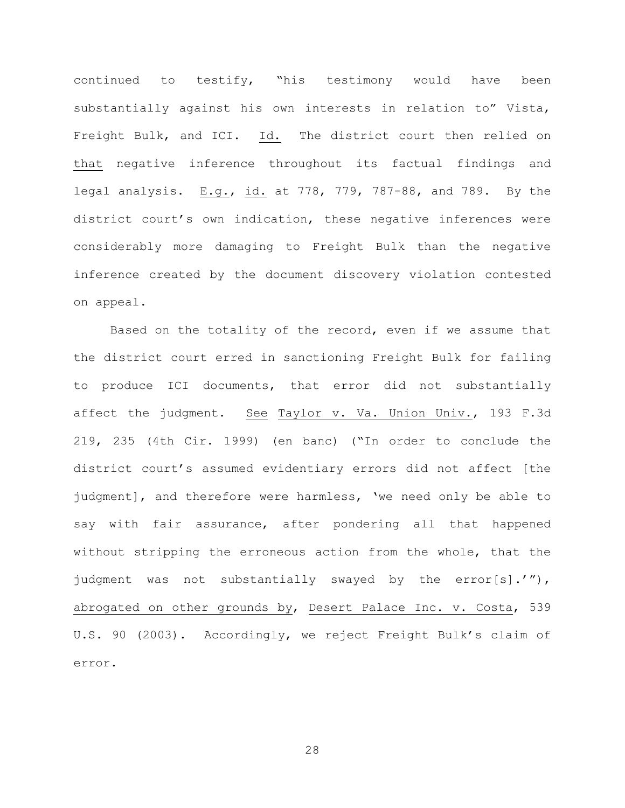continued to testify, "his testimony would have been substantially against his own interests in relation to" Vista, Freight Bulk, and ICI. Id. The district court then relied on that negative inference throughout its factual findings and legal analysis. E.g., id. at 778, 779, 787-88, and 789. By the district court's own indication, these negative inferences were considerably more damaging to Freight Bulk than the negative inference created by the document discovery violation contested on appeal.

Based on the totality of the record, even if we assume that the district court erred in sanctioning Freight Bulk for failing to produce ICI documents, that error did not substantially affect the judgment. See Taylor v. Va. Union Univ., 193 F.3d 219, 235 (4th Cir. 1999) (en banc) ("In order to conclude the district court's assumed evidentiary errors did not affect [the judgment], and therefore were harmless, 'we need only be able to say with fair assurance, after pondering all that happened without stripping the erroneous action from the whole, that the judgment was not substantially swayed by the error[s].'"), abrogated on other grounds by, Desert Palace Inc. v. Costa, 539 U.S. 90 (2003). Accordingly, we reject Freight Bulk's claim of error.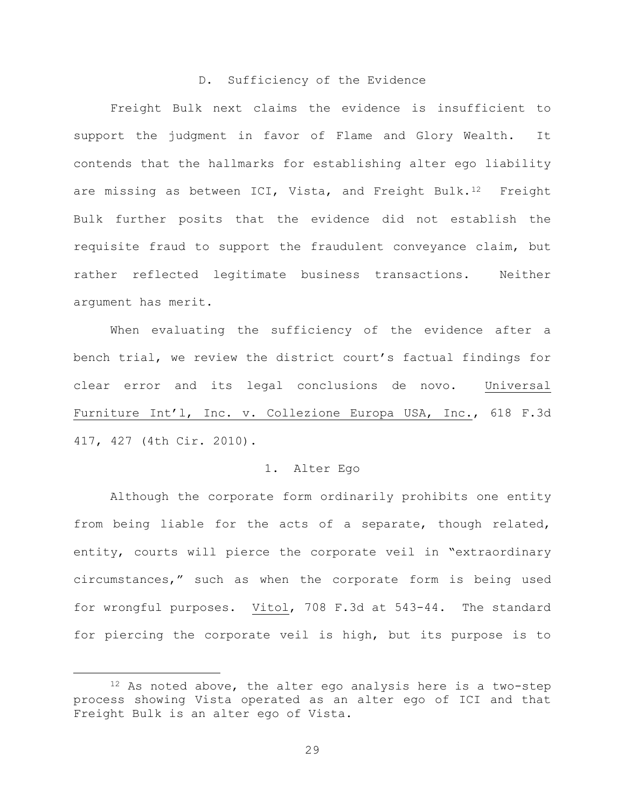### D. Sufficiency of the Evidence

Freight Bulk next claims the evidence is insufficient to support the judgment in favor of Flame and Glory Wealth. It contends that the hallmarks for establishing alter ego liability are missing as between ICI, Vista, and Freight Bulk.<sup>[12](#page-28-0)</sup> Freight Bulk further posits that the evidence did not establish the requisite fraud to support the fraudulent conveyance claim, but rather reflected legitimate business transactions. Neither argument has merit.

 When evaluating the sufficiency of the evidence after a bench trial, we review the district court's factual findings for clear error and its legal conclusions de novo. Universal Furniture Int'l, Inc. v. Collezione Europa USA, Inc., 618 F.3d 417, 427 (4th Cir. 2010).

### 1. Alter Ego

Although the corporate form ordinarily prohibits one entity from being liable for the acts of a separate, though related, entity, courts will pierce the corporate veil in "extraordinary circumstances," such as when the corporate form is being used for wrongful purposes. Vitol, 708 F.3d at 543-44. The standard for piercing the corporate veil is high, but its purpose is to

<span id="page-28-0"></span><sup>12</sup> As noted above, the alter ego analysis here is a two-step process showing Vista operated as an alter ego of ICI and that Freight Bulk is an alter ego of Vista.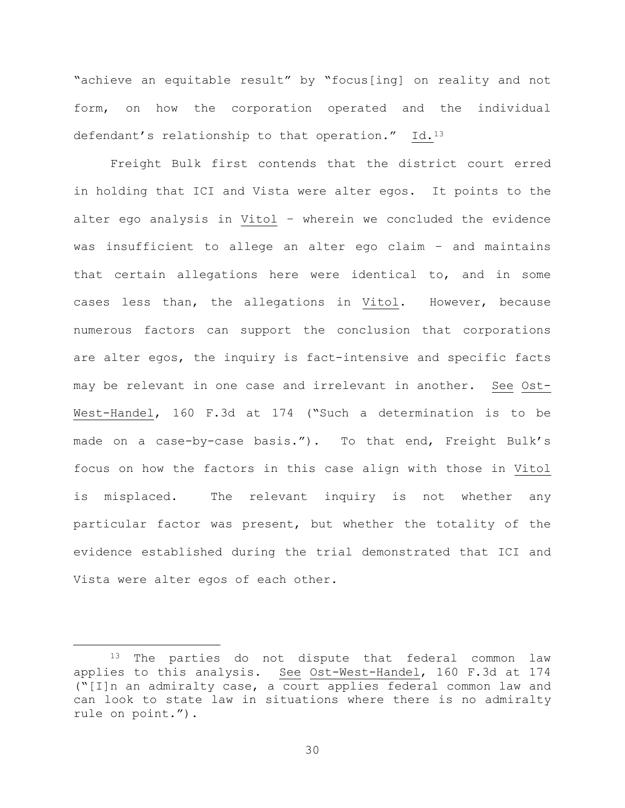"achieve an equitable result" by "focus[ing] on reality and not form, on how the corporation operated and the individual defendant's relationship to that operation." Id.<sup>13</sup>

Freight Bulk first contends that the district court erred in holding that ICI and Vista were alter egos. It points to the alter ego analysis in Vitol – wherein we concluded the evidence was insufficient to allege an alter ego claim – and maintains that certain allegations here were identical to, and in some cases less than, the allegations in Vitol. However, because numerous factors can support the conclusion that corporations are alter egos, the inquiry is fact-intensive and specific facts may be relevant in one case and irrelevant in another. See Ost-West-Handel, 160 F.3d at 174 ("Such a determination is to be made on a case-by-case basis."). To that end, Freight Bulk's focus on how the factors in this case align with those in Vitol is misplaced. The relevant inquiry is not whether any particular factor was present, but whether the totality of the evidence established during the trial demonstrated that ICI and Vista were alter egos of each other.

<span id="page-29-0"></span><sup>&</sup>lt;sup>13</sup> The parties do not dispute that federal common law applies to this analysis. See Ost-West-Handel, 160 F.3d at 174 ("[I]n an admiralty case, a court applies federal common law and can look to state law in situations where there is no admiralty rule on point.").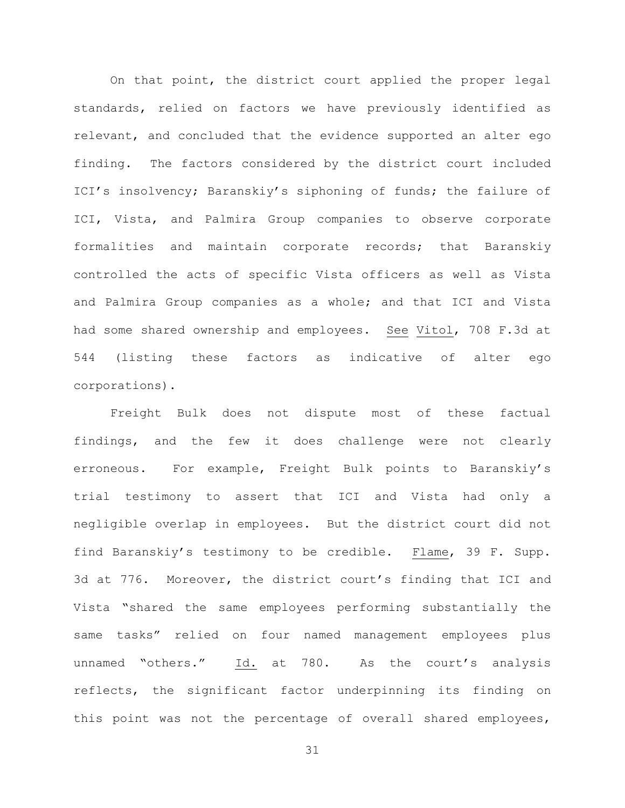On that point, the district court applied the proper legal standards, relied on factors we have previously identified as relevant, and concluded that the evidence supported an alter ego finding. The factors considered by the district court included ICI's insolvency; Baranskiy's siphoning of funds; the failure of ICI, Vista, and Palmira Group companies to observe corporate formalities and maintain corporate records; that Baranskiy controlled the acts of specific Vista officers as well as Vista and Palmira Group companies as a whole; and that ICI and Vista had some shared ownership and employees. See Vitol, 708 F.3d at 544 (listing these factors as indicative of alter ego corporations).

Freight Bulk does not dispute most of these factual findings, and the few it does challenge were not clearly erroneous. For example, Freight Bulk points to Baranskiy's trial testimony to assert that ICI and Vista had only a negligible overlap in employees. But the district court did not find Baranskiy's testimony to be credible. Flame, 39 F. Supp. 3d at 776. Moreover, the district court's finding that ICI and Vista "shared the same employees performing substantially the same tasks" relied on four named management employees plus unnamed "others." Id. at 780. As the court's analysis reflects, the significant factor underpinning its finding on this point was not the percentage of overall shared employees,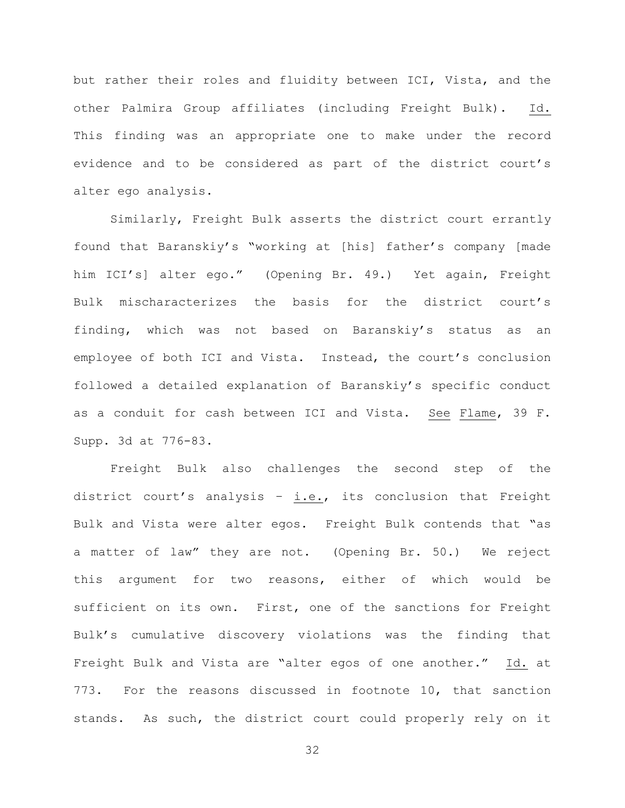but rather their roles and fluidity between ICI, Vista, and the other Palmira Group affiliates (including Freight Bulk). Id. This finding was an appropriate one to make under the record evidence and to be considered as part of the district court's alter ego analysis.

Similarly, Freight Bulk asserts the district court errantly found that Baranskiy's "working at [his] father's company [made him ICI's] alter ego." (Opening Br. 49.) Yet again, Freight Bulk mischaracterizes the basis for the district court's finding, which was not based on Baranskiy's status as an employee of both ICI and Vista. Instead, the court's conclusion followed a detailed explanation of Baranskiy's specific conduct as a conduit for cash between ICI and Vista. See Flame, 39 F. Supp. 3d at 776-83.

Freight Bulk also challenges the second step of the district court's analysis – i.e., its conclusion that Freight Bulk and Vista were alter egos. Freight Bulk contends that "as a matter of law" they are not. (Opening Br. 50.) We reject this argument for two reasons, either of which would be sufficient on its own. First, one of the sanctions for Freight Bulk's cumulative discovery violations was the finding that Freight Bulk and Vista are "alter egos of one another." Id. at 773. For the reasons discussed in footnote 10, that sanction stands. As such, the district court could properly rely on it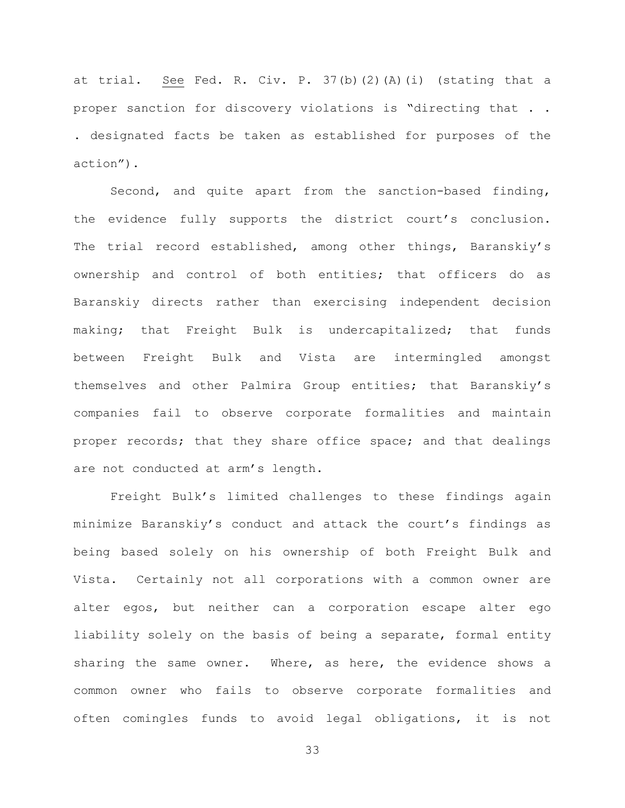at trial. See Fed. R. Civ. P. 37(b)(2)(A)(i) (stating that a proper sanction for discovery violations is "directing that . . . designated facts be taken as established for purposes of the action").

Second, and quite apart from the sanction-based finding, the evidence fully supports the district court's conclusion. The trial record established, among other things, Baranskiy's ownership and control of both entities; that officers do as Baranskiy directs rather than exercising independent decision making; that Freight Bulk is undercapitalized; that funds between Freight Bulk and Vista are intermingled amongst themselves and other Palmira Group entities; that Baranskiy's companies fail to observe corporate formalities and maintain proper records; that they share office space; and that dealings are not conducted at arm's length.

Freight Bulk's limited challenges to these findings again minimize Baranskiy's conduct and attack the court's findings as being based solely on his ownership of both Freight Bulk and Vista. Certainly not all corporations with a common owner are alter egos, but neither can a corporation escape alter ego liability solely on the basis of being a separate, formal entity sharing the same owner. Where, as here, the evidence shows a common owner who fails to observe corporate formalities and often comingles funds to avoid legal obligations, it is not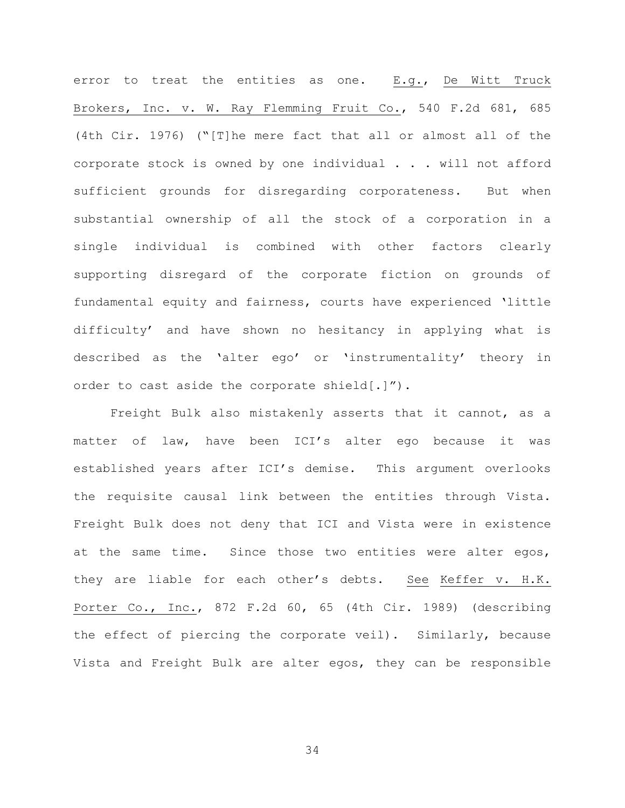error to treat the entities as one. E.g., De Witt Truck Brokers, Inc. v. W. Ray Flemming Fruit Co., 540 F.2d 681, 685 (4th Cir. 1976) ("[T]he mere fact that all or almost all of the corporate stock is owned by one individual . . . will not afford sufficient grounds for disregarding corporateness. But when substantial ownership of all the stock of a corporation in a single individual is combined with other factors clearly supporting disregard of the corporate fiction on grounds of fundamental equity and fairness, courts have experienced 'little difficulty' and have shown no hesitancy in applying what is described as the 'alter ego' or 'instrumentality' theory in order to cast aside the corporate shield[.]").

Freight Bulk also mistakenly asserts that it cannot, as a matter of law, have been ICI's alter ego because it was established years after ICI's demise. This argument overlooks the requisite causal link between the entities through Vista. Freight Bulk does not deny that ICI and Vista were in existence at the same time. Since those two entities were alter egos, they are liable for each other's debts. See Keffer v. H.K. Porter Co., Inc., 872 F.2d 60, 65 (4th Cir. 1989) (describing the effect of piercing the corporate veil). Similarly, because Vista and Freight Bulk are alter egos, they can be responsible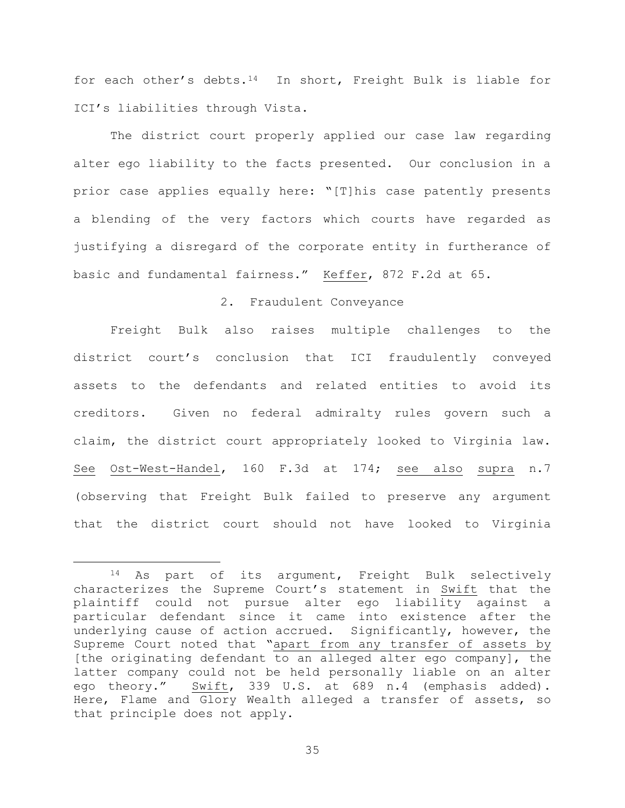for each other's debts.[14](#page-34-0) In short, Freight Bulk is liable for ICI's liabilities through Vista.

 The district court properly applied our case law regarding alter ego liability to the facts presented. Our conclusion in a prior case applies equally here: "[T]his case patently presents a blending of the very factors which courts have regarded as justifying a disregard of the corporate entity in furtherance of basic and fundamental fairness." Keffer, 872 F.2d at 65.

## 2. Fraudulent Conveyance

Freight Bulk also raises multiple challenges to the district court's conclusion that ICI fraudulently conveyed assets to the defendants and related entities to avoid its creditors. Given no federal admiralty rules govern such a claim, the district court appropriately looked to Virginia law. See Ost-West-Handel, 160 F.3d at 174; see also supra n.7 (observing that Freight Bulk failed to preserve any argument that the district court should not have looked to Virginia

<span id="page-34-0"></span><sup>14</sup> As part of its argument, Freight Bulk selectively characterizes the Supreme Court's statement in Swift that the plaintiff could not pursue alter ego liability against a particular defendant since it came into existence after the underlying cause of action accrued. Significantly, however, the Supreme Court noted that "apart from any transfer of assets by [the originating defendant to an alleged alter ego company], the latter company could not be held personally liable on an alter ego theory." Swift, 339 U.S. at 689 n.4 (emphasis added). Here, Flame and Glory Wealth alleged a transfer of assets, so that principle does not apply.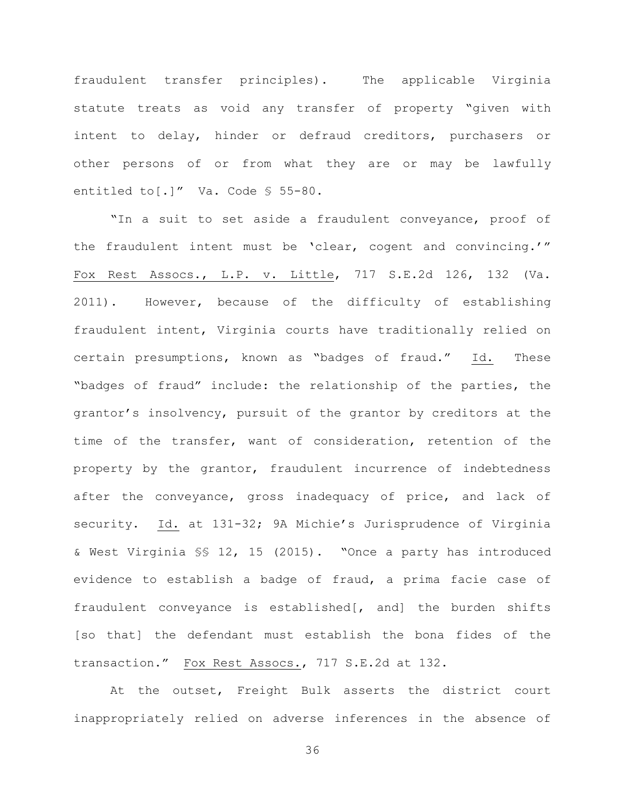fraudulent transfer principles). The applicable Virginia statute treats as void any transfer of property "given with intent to delay, hinder or defraud creditors, purchasers or other persons of or from what they are or may be lawfully entitled to[.]" Va. Code § 55-80.

"In a suit to set aside a fraudulent conveyance, proof of the fraudulent intent must be 'clear, cogent and convincing.'" Fox Rest Assocs., L.P. v. Little, 717 S.E.2d 126, 132 (Va. 2011). However, because of the difficulty of establishing fraudulent intent, Virginia courts have traditionally relied on certain presumptions, known as "badges of fraud." Id. These "badges of fraud" include: the relationship of the parties, the grantor's insolvency, pursuit of the grantor by creditors at the time of the transfer, want of consideration, retention of the property by the grantor, fraudulent incurrence of indebtedness after the conveyance, gross inadequacy of price, and lack of security. Id. at 131-32; 9A Michie's Jurisprudence of Virginia & West Virginia §§ 12, 15 (2015). "Once a party has introduced evidence to establish a badge of fraud, a prima facie case of fraudulent conveyance is established[, and] the burden shifts [so that] the defendant must establish the bona fides of the transaction." Fox Rest Assocs., 717 S.E.2d at 132.

At the outset, Freight Bulk asserts the district court inappropriately relied on adverse inferences in the absence of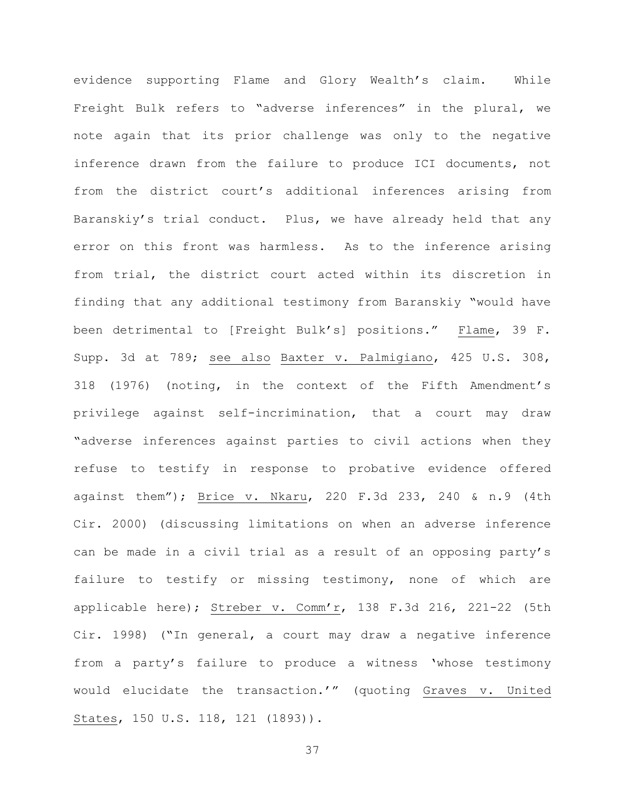evidence supporting Flame and Glory Wealth's claim. While Freight Bulk refers to "adverse inferences" in the plural, we note again that its prior challenge was only to the negative inference drawn from the failure to produce ICI documents, not from the district court's additional inferences arising from Baranskiy's trial conduct. Plus, we have already held that any error on this front was harmless. As to the inference arising from trial, the district court acted within its discretion in finding that any additional testimony from Baranskiy "would have been detrimental to [Freight Bulk's] positions." Flame, 39 F. Supp. 3d at 789; see also Baxter v. Palmigiano, 425 U.S. 308, 318 (1976) (noting, in the context of the Fifth Amendment's privilege against self-incrimination, that a court may draw "adverse inferences against parties to civil actions when they refuse to testify in response to probative evidence offered against them"); Brice v. Nkaru, 220 F.3d 233, 240 & n.9 (4th Cir. 2000) (discussing limitations on when an adverse inference can be made in a civil trial as a result of an opposing party's failure to testify or missing testimony, none of which are applicable here); Streber v. Comm'r, 138 F.3d 216, 221-22 (5th Cir. 1998) ("In general, a court may draw a negative inference from a party's failure to produce a witness 'whose testimony would elucidate the transaction.'" (quoting Graves v. United States, 150 U.S. 118, 121 (1893)).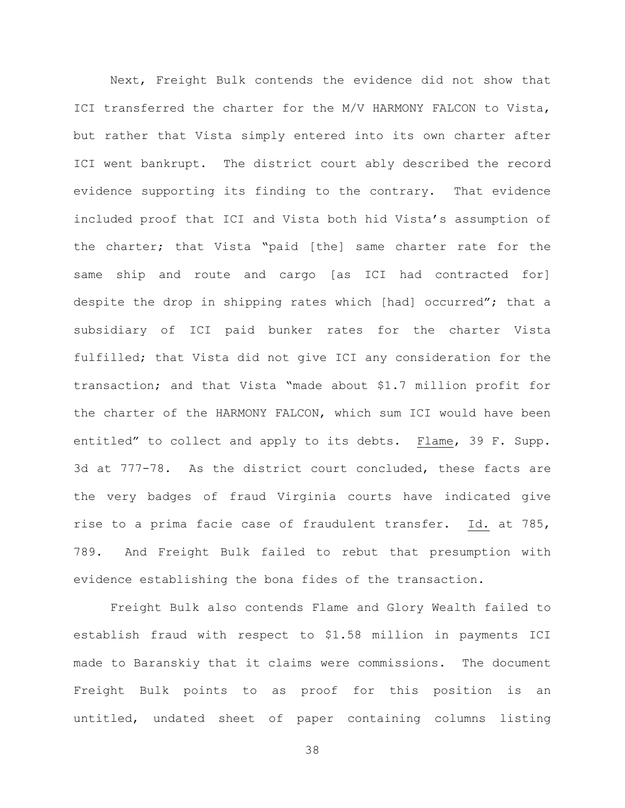Next, Freight Bulk contends the evidence did not show that ICI transferred the charter for the M/V HARMONY FALCON to Vista, but rather that Vista simply entered into its own charter after ICI went bankrupt. The district court ably described the record evidence supporting its finding to the contrary. That evidence included proof that ICI and Vista both hid Vista's assumption of the charter; that Vista "paid [the] same charter rate for the same ship and route and cargo [as ICI had contracted for] despite the drop in shipping rates which [had] occurred"; that a subsidiary of ICI paid bunker rates for the charter Vista fulfilled; that Vista did not give ICI any consideration for the transaction; and that Vista "made about \$1.7 million profit for the charter of the HARMONY FALCON, which sum ICI would have been entitled" to collect and apply to its debts. Flame, 39 F. Supp. 3d at 777-78. As the district court concluded, these facts are the very badges of fraud Virginia courts have indicated give rise to a prima facie case of fraudulent transfer. Id. at 785, 789. And Freight Bulk failed to rebut that presumption with evidence establishing the bona fides of the transaction.

Freight Bulk also contends Flame and Glory Wealth failed to establish fraud with respect to \$1.58 million in payments ICI made to Baranskiy that it claims were commissions. The document Freight Bulk points to as proof for this position is an untitled, undated sheet of paper containing columns listing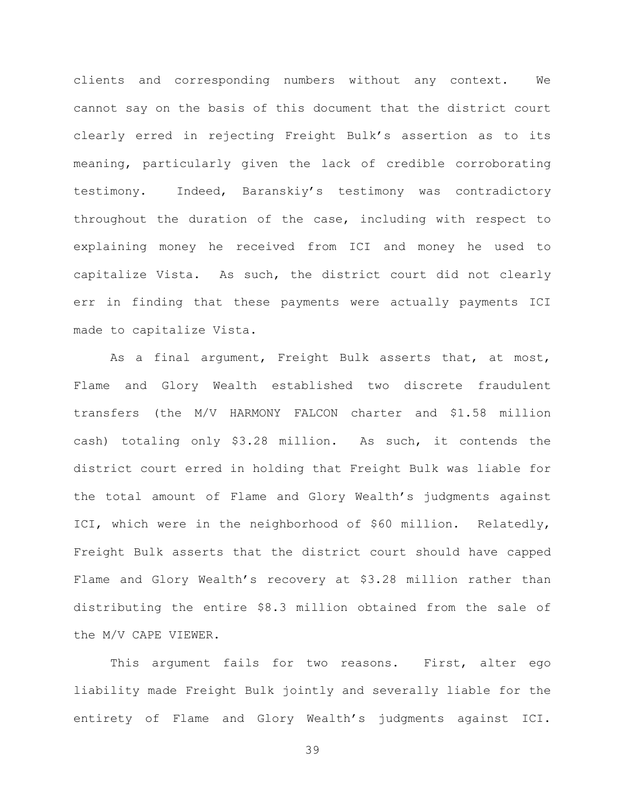clients and corresponding numbers without any context. We cannot say on the basis of this document that the district court clearly erred in rejecting Freight Bulk's assertion as to its meaning, particularly given the lack of credible corroborating testimony. Indeed, Baranskiy's testimony was contradictory throughout the duration of the case, including with respect to explaining money he received from ICI and money he used to capitalize Vista. As such, the district court did not clearly err in finding that these payments were actually payments ICI made to capitalize Vista.

As a final argument, Freight Bulk asserts that, at most, Flame and Glory Wealth established two discrete fraudulent transfers (the M/V HARMONY FALCON charter and \$1.58 million cash) totaling only \$3.28 million. As such, it contends the district court erred in holding that Freight Bulk was liable for the total amount of Flame and Glory Wealth's judgments against ICI, which were in the neighborhood of \$60 million. Relatedly, Freight Bulk asserts that the district court should have capped Flame and Glory Wealth's recovery at \$3.28 million rather than distributing the entire \$8.3 million obtained from the sale of the M/V CAPE VIEWER.

This argument fails for two reasons. First, alter ego liability made Freight Bulk jointly and severally liable for the entirety of Flame and Glory Wealth's judgments against ICI.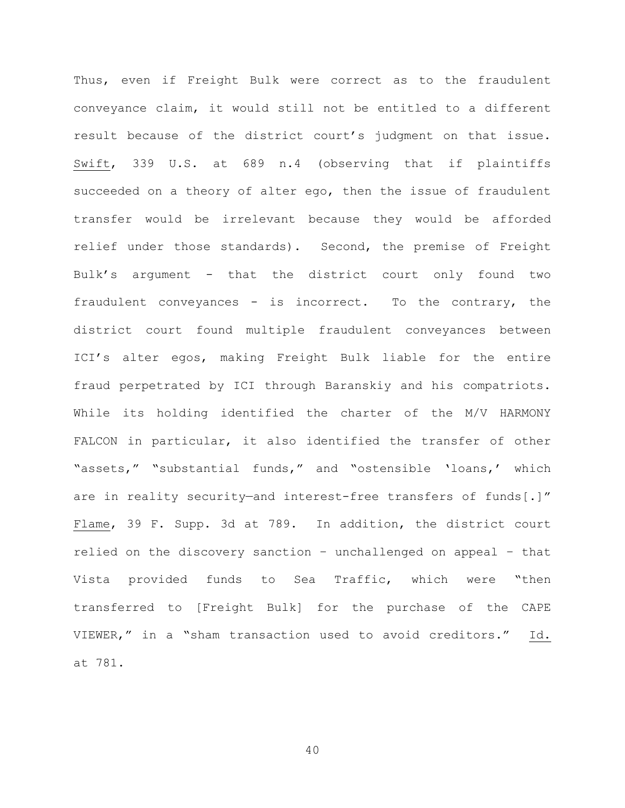Thus, even if Freight Bulk were correct as to the fraudulent conveyance claim, it would still not be entitled to a different result because of the district court's judgment on that issue. Swift, 339 U.S. at 689 n.4 (observing that if plaintiffs succeeded on a theory of alter ego, then the issue of fraudulent transfer would be irrelevant because they would be afforded relief under those standards). Second, the premise of Freight Bulk's argument - that the district court only found two fraudulent conveyances - is incorrect. To the contrary, the district court found multiple fraudulent conveyances between ICI's alter egos, making Freight Bulk liable for the entire fraud perpetrated by ICI through Baranskiy and his compatriots. While its holding identified the charter of the M/V HARMONY FALCON in particular, it also identified the transfer of other "assets," "substantial funds," and "ostensible 'loans,' which are in reality security—and interest-free transfers of funds[.]" Flame, 39 F. Supp. 3d at 789. In addition, the district court relied on the discovery sanction – unchallenged on appeal – that Vista provided funds to Sea Traffic, which were "then transferred to [Freight Bulk] for the purchase of the CAPE VIEWER," in a "sham transaction used to avoid creditors." Id. at 781.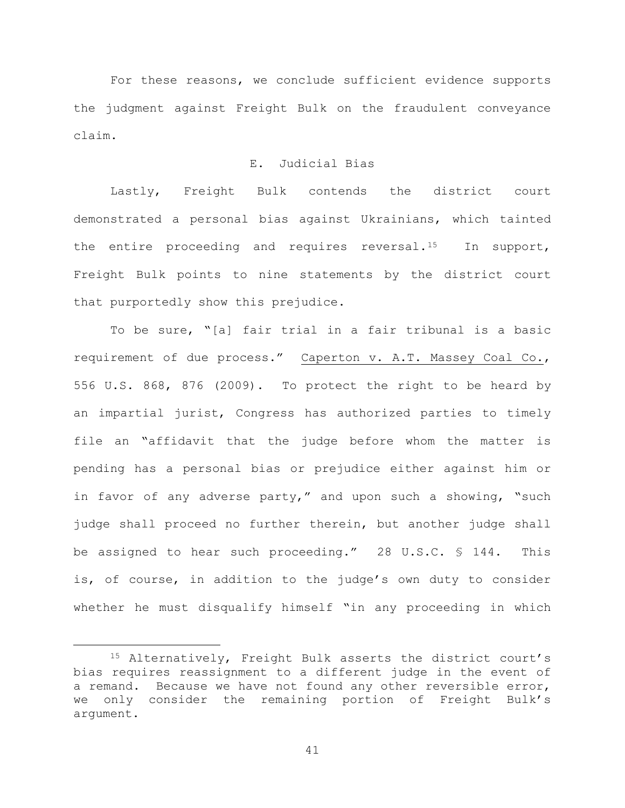For these reasons, we conclude sufficient evidence supports the judgment against Freight Bulk on the fraudulent conveyance claim.

# E. Judicial Bias

 Lastly, Freight Bulk contends the district court demonstrated a personal bias against Ukrainians, which tainted the entire proceeding and requires reversal.<sup>15</sup> In support, Freight Bulk points to nine statements by the district court that purportedly show this prejudice.

To be sure, "[a] fair trial in a fair tribunal is a basic requirement of due process." Caperton v. A.T. Massey Coal Co., 556 U.S. 868, 876 (2009). To protect the right to be heard by an impartial jurist, Congress has authorized parties to timely file an "affidavit that the judge before whom the matter is pending has a personal bias or prejudice either against him or in favor of any adverse party," and upon such a showing, "such judge shall proceed no further therein, but another judge shall be assigned to hear such proceeding." 28 U.S.C. § 144. This is, of course, in addition to the judge's own duty to consider whether he must disqualify himself "in any proceeding in which

<span id="page-40-0"></span> <sup>15</sup> Alternatively, Freight Bulk asserts the district court's bias requires reassignment to a different judge in the event of a remand. Because we have not found any other reversible error, we only consider the remaining portion of Freight Bulk's argument.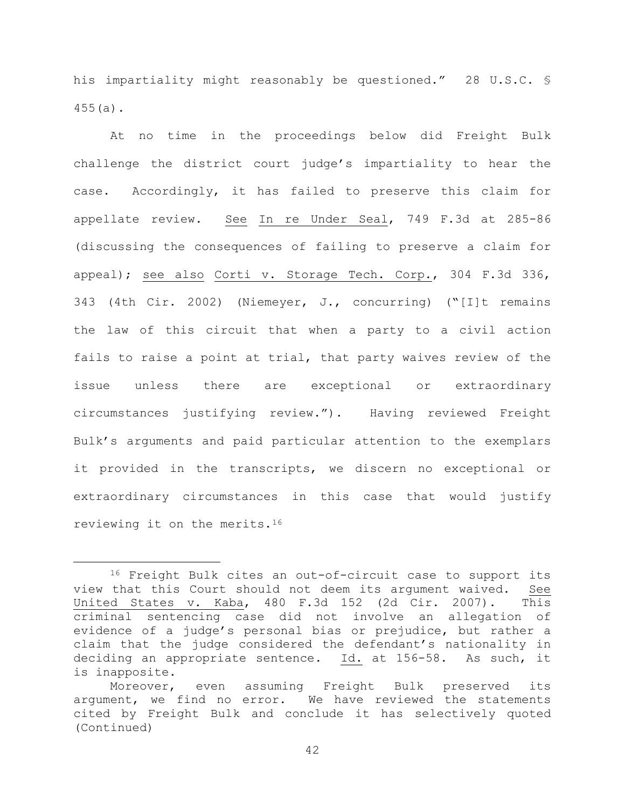his impartiality might reasonably be questioned." 28 U.S.C. § 455(a).

At no time in the proceedings below did Freight Bulk challenge the district court judge's impartiality to hear the case. Accordingly, it has failed to preserve this claim for appellate review. See In re Under Seal, 749 F.3d at 285-86 (discussing the consequences of failing to preserve a claim for appeal); see also Corti v. Storage Tech. Corp., 304 F.3d 336, 343 (4th Cir. 2002) (Niemeyer, J., concurring) ("[I]t remains the law of this circuit that when a party to a civil action fails to raise a point at trial, that party waives review of the issue unless there are exceptional or extraordinary circumstances justifying review."). Having reviewed Freight Bulk's arguments and paid particular attention to the exemplars it provided in the transcripts, we discern no exceptional or extraordinary circumstances in this case that would justify reviewing it on the merits.[16](#page-41-0)

<span id="page-41-0"></span> <sup>16</sup> Freight Bulk cites an out-of-circuit case to support its view that this Court should not deem its argument waived. See United States v. Kaba, 480 F.3d 152 (2d Cir. 2007). This criminal sentencing case did not involve an allegation of evidence of a judge's personal bias or prejudice, but rather a claim that the judge considered the defendant's nationality in deciding an appropriate sentence. Id. at 156-58. As such, it is inapposite.

Moreover, even assuming Freight Bulk preserved its argument, we find no error. We have reviewed the statements cited by Freight Bulk and conclude it has selectively quoted (Continued)